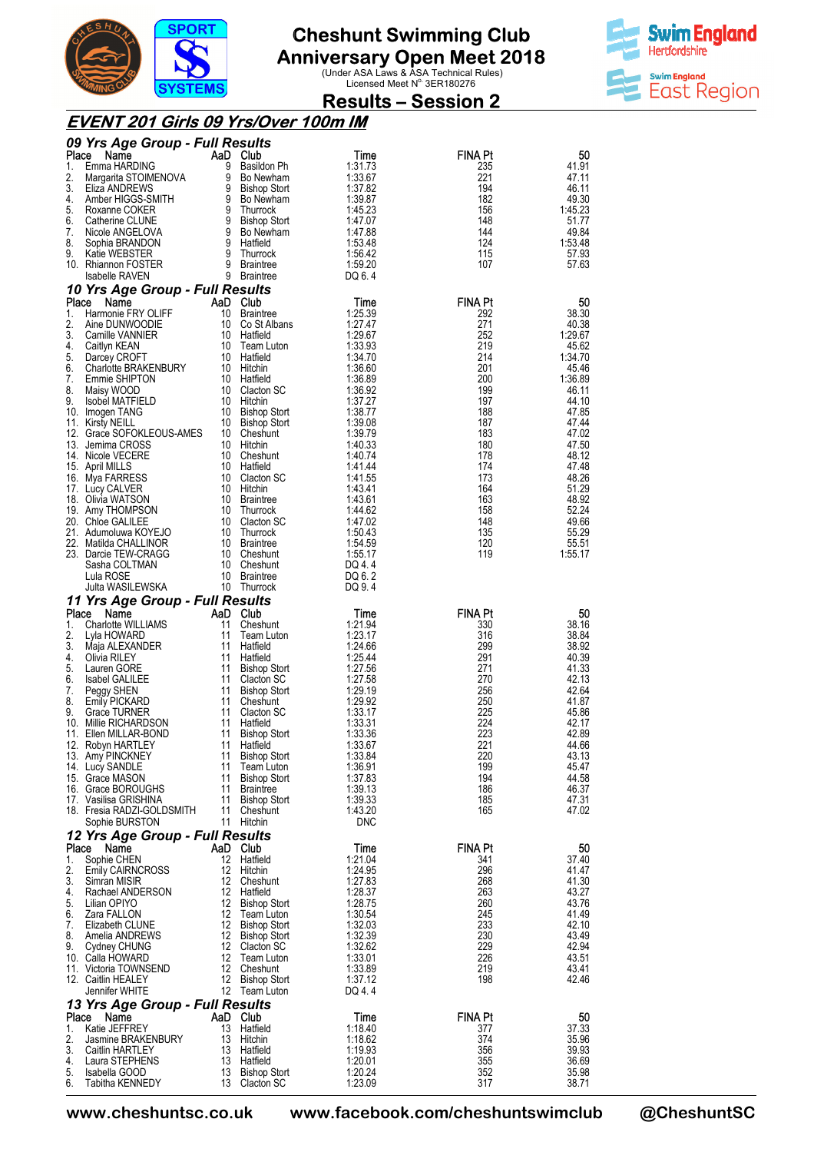

**Anniversary Open Meet 2018**<br>Under ASA Laws & ASA Technical Rules)<br>Licensed Meet N<sup>o.</sup> 3ER180276



### **Results – Session 2**

#### **EVENT 201 Girls 09 Yrs/Over 100m IM**

| Place    | 09 Yrs Age Group - Full Results<br>Name        |                         | AaD Club                          |                       | <b>FINA Pt</b> | 50               |
|----------|------------------------------------------------|-------------------------|-----------------------------------|-----------------------|----------------|------------------|
| 1.       | Emma HARDING                                   | 9                       | Basildon Ph                       | Time<br>1:31.73       | 235            | 41.91            |
| 2.       | Margarita STOIMENOVA                           | 9                       | Bo Newham                         | 1:33.67               | 221            | 47.11            |
| 3.<br>4. | Eliza ANDREWS                                  | 9<br>9                  | <b>Bishop Stort</b>               | 1:37.82               | 194            | 46.11            |
| 5.       | Amber HIGGS-SMITH<br>Roxanne COKER             | 9                       | Bo Newham<br>Thurrock             | 1:39.87<br>1:45.23    | 182<br>156     | 49.30<br>1:45.23 |
| 6.       | Catherine CLUNE                                | 9                       | <b>Bishop Stort</b>               | 1.47.07               | 148            | 51.77            |
| 7.       | Nicole ANGELOVA                                | 9                       | Bo Newham                         | 1:47.88               | 144            | 49.84            |
| 8.<br>9. | Sophia BRANDON<br>Katie WEBSTER                | 9<br>9                  | Hatfield<br>Thurrock              | 1:53.48<br>1:56.42    | 124<br>115     | 1:53.48<br>57.93 |
|          | 10. Rhiannon FOSTER                            | 9                       | <b>Braintree</b>                  | 1:59.20               | 107            | 57.63            |
|          | <b>Isabelle RAVEN</b>                          |                         | 9 Braintree                       | DQ 6.4                |                |                  |
| Place    | 10 Yrs Age Group - Full Results<br>Name        |                         | AaD Club                          | Time                  | <b>FINA Pt</b> | 50               |
| 1.       | Harmonie FRY OLIFF                             | 10                      | <b>Braintree</b>                  | 1:25.39               | 292            | 38.30            |
| 2.       | Aine DUNWOODIE                                 | 10                      | Co St Albans                      | 1:27.47               | 271            | 40.38            |
| 3.<br>4. | Camille VANNIER<br>Caitlyn KEAN                | 10<br>10                | Hatfield<br>Team Luton            | 1:29.67<br>1:33.93    | 252<br>219     | 1:29.67<br>45.62 |
| 5.       | Darcey CROFT                                   | 10                      | Hatfield                          | 1:34.70               | 214            | 1:34.70          |
| 6.       | <b>Charlotte BRAKENBURY</b>                    | 10                      | Hitchin                           | 1:36.60               | 201            | 45.46            |
| 7.<br>8. | Emmie SHIPTON<br>Maisy WOOD                    | 10<br>10                | Hatfield<br>Clacton SC            | 1:36.89<br>1:36.92    | 200<br>199     | 1:36.89<br>46.11 |
| 9.       | <b>Isobel MATFIELD</b>                         | 10                      | Hitchin                           | 1:37.27               | 197            | 44.10            |
|          | 10. Imogen TANG                                | 10                      | <b>Bishop Stort</b>               | 1:38.77               | 188            | 47.85            |
|          | 11. Kirsty NEILL<br>12. Grace SOFOKLEOUS-AMES  | 10<br>10                | Bishop Stort<br>Cheshunt          | 1:39.08<br>1:39.79    | 187<br>183     | 47.44<br>47.02   |
|          | 13. Jemima CROSS                               | 10                      | Hitchin                           | 1:40.33               | 180            | 47.50            |
|          | 14. Nicole VECERE                              | 10                      | Cheshunt                          | 1:40.74               | 178            | 48.12            |
|          | 15. April MILLS                                | 10<br>10                | Hatfield                          | 1:41.44               | 174            | 47.48            |
|          | 16. Mya FARRESS<br>17. Lucy CALVER             | 10                      | Clacton SC<br>Hitchin             | 1:41.55<br>1.43.41    | 173<br>164     | 48.26<br>51.29   |
|          | 18. Olivia WATSON                              | 10                      | <b>Braintree</b>                  | 1:43.61               | 163            | 48.92            |
|          | 19. Amy THOMPSON                               | 10                      | Thurrock                          | 1:44.62               | 158            | 52.24            |
|          | 20. Chloe GALILEE<br>21. Adumoluwa KOYEJO      | 10<br>10                | Clacton SC<br>Thurrock            | 1:47.02<br>1:50.43    | 148<br>135     | 49.66<br>55.29   |
| 22.      | Matilda CHALLINOR                              | 10                      | Braintree                         | 1:54.59               | 120            | 55.51            |
|          | 23. Darcie TEW-CRAGG                           | 10                      | Cheshunt                          | 1:55.17               | 119            | 1:55.17          |
|          | Sasha COLTMAN<br>Lula ROSE                     | 10<br>10                | Cheshunt<br><b>Braintree</b>      | DQ 4.4<br>DQ 6.2      |                |                  |
|          | Julta WASILEWSKA                               | 10                      | Thurrock                          | DQ 9.4                |                |                  |
|          | 11 Yrs Age Group - Full Results                |                         |                                   |                       |                |                  |
| Place    | AaD<br>Name                                    |                         | Club                              | Time                  | <b>FINA Pt</b> | 50               |
| 1.<br>2. | <b>Charlotte WILLIAMS</b><br>Lyla HOWARD       | 11<br>11                | Cheshunt<br>Team Luton            | 1:21.94<br>1:23.17    | 330<br>316     | 38.16<br>38.84   |
| 3.       | Maja ALEXANDER                                 | 11                      | Hatfield                          | 1:24.66               | 299            | 38.92            |
| 4.       | Olivia RILEY                                   | 11                      | Hatfield                          | 1:25.44               | 291            | 40.39            |
| 5.<br>6. | Lauren GORE<br><b>Isabel GALILEE</b>           | 11<br>11                | <b>Bishop Stort</b><br>Clacton SC | 1:27.56<br>1:27.58    | 271<br>270     | 41.33<br>42.13   |
| 7.       | Peggy SHEN                                     | 11                      | <b>Bishop Stort</b>               | 1:29.19               | 256            | 42.64            |
| 8.       | <b>Emily PICKARD</b>                           | 11                      | Cheshunt                          | 1:29.92               | 250            | 41.87            |
| 9.       | <b>Grace TURNER</b>                            | 11<br>11                | Clacton SC                        | 1:33.17               | 225<br>224     | 45.86            |
|          | 10. Millie RICHARDSON<br>11. Ellen MILLAR-BOND | 11                      | Hatfield<br><b>Bishop Stort</b>   | 1:33.31<br>1:33.36    | 223            | 42.17<br>42.89   |
|          | 12. Robyn HARTLEY                              | 11                      | Hatfield                          | 1:33.67               | 221            | 44.66            |
|          | 13. Amy PINCKNEY                               | 11                      | <b>Bishop Stort</b>               | 1:33.84               | 220            | 43.13            |
|          | 14. Lucy SANDLE<br>15. Grace MASON             | 11<br>11                | Team Luton<br><b>Bishop Stort</b> | 1:36.91<br>1:37.83    | 199<br>194     | 45.47<br>44.58   |
|          | 16. Grace BOROUGHS                             | 11                      | Braintree                         | 1:39.13               | 186            | 46.37            |
|          | 17. Vasilisa GRISHINA                          | 11                      | <b>Bishop Stort</b>               | 1:39.33               | 185            | 47.31            |
|          | 18. Fresia RADZI-GOLDSMITH<br>Sophie BURSTON   | 11                      | Cheshunt<br>11 Hitchin            | 1:43.20<br><b>DNC</b> | 165            | 47.02            |
|          | 12 Yrs Age Group - Full Results                |                         |                                   |                       |                |                  |
| Place    | Name                                           |                         | AaD Club                          | Time                  | <b>FINA Pt</b> | 50               |
| 1.<br>2. | Sophie CHEN                                    | 12<br>12                | Hatfield                          | 1:21.04               | 341<br>296     | 37.40            |
| 3.       | <b>Emily CAIRNCROSS</b><br>Simran MISIR        | 12                      | Hitchin<br>Cheshunt               | 1:24.95<br>1:27.83    | 268            | 41.47<br>41.30   |
| 4.       | Rachael ANDERSON                               | 12                      | Hatfield                          | 1:28.37               | 263            | 43.27            |
| 5.       | Lilian OPIYO                                   | 12                      | Bishop Stort                      | 1:28.75               | 260            | 43.76            |
| 6.<br>7. | Zara FALLON<br>Elizabeth CLUNE                 | 12                      | Team Luton<br>12 Bishop Stort     | 1:30.54<br>1:32.03    | 245<br>233     | 41.49<br>42.10   |
| 8.       | Amelia ANDREWS                                 |                         | 12 Bishop Stort                   | 1:32.39               | 230            | 43.49            |
| 9.       | Cydney CHUNG                                   |                         | 12 Clacton SC                     | 1:32.62               | 229            | 42.94            |
|          | 10. Calla HOWARD<br>11. Victoria TOWNSEND      | 12<br>$12 \overline{ }$ | Team Luton<br>Cheshunt            | 1:33.01<br>1:33.89    | 226<br>219     | 43.51<br>43.41   |
|          | 12. Caitlin HEALEY                             | 12                      | Bishop Stort                      | 1:37.12               | 198            | 42.46            |
|          | Jennifer WHITE                                 | 12                      | Team Luton                        | DQ 4.4                |                |                  |
| Place    | 13 Yrs Age Group - Full Results<br>AaD<br>Name |                         | Club                              | Time                  | <b>FINA Pt</b> | 50               |
| 1.       | Katie JEFFREY                                  | 13                      | Hatfield                          | 1:18.40               | 377            | 37.33            |
| 2.       | Jasmine BRAKENBURY                             | 13                      | Hitchin                           | 1:18.62               | 374            | 35.96            |
| 3.<br>4. | Caitlin HARTLEY<br>Laura STEPHENS              | 13<br>13                | Hatfield<br>Hatfield              | 1:19.93<br>1:20.01    | 356<br>355     | 39.93<br>36.69   |
| 5.       | Isabella GOOD                                  | 13                      | <b>Bishop Stort</b>               | 1:20.24               | 352            | 35.98            |
| 6.       | Tabitha KENNEDY                                | 13                      | <b>Clacton SC</b>                 | 1:23.09               | 317            | 38.71            |

**www.cheshuntsc.co.uk www.facebook.com/cheshuntswimclub www.facebook.com/cheshuntswimclub @CheshuntSC**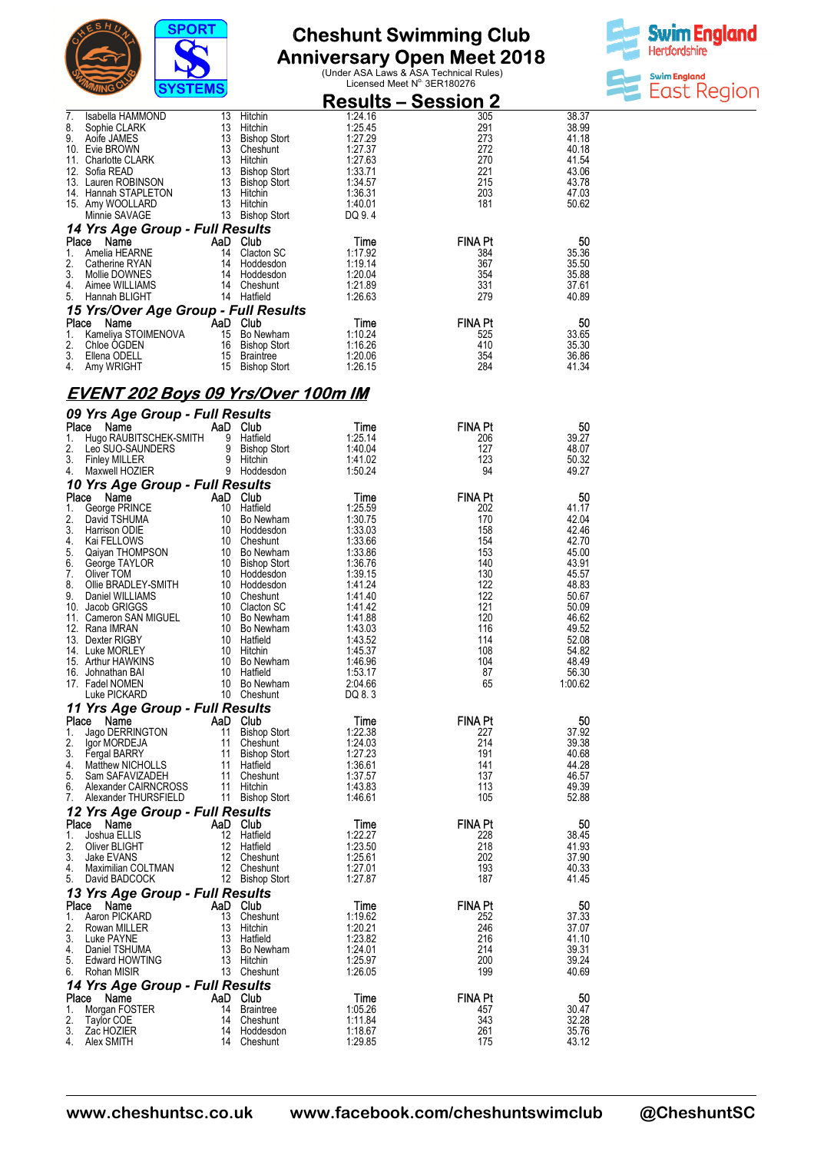



|       |                                           |     |                     | <b>Results – Session 2</b> |                |       |
|-------|-------------------------------------------|-----|---------------------|----------------------------|----------------|-------|
| 7.    | Isabella HAMMOND                          | 13  | Hitchin             | 1:24.16                    | 305            | 38.37 |
| 8.    | Sophie CLARK                              | 13  | Hitchin             | 1:25.45                    | 291            | 38.99 |
| 9.    | Aoife JAMES                               | 13  | <b>Bishop Stort</b> | 1:27.29                    | 273            | 41.18 |
| 10.   | Evie BROWN                                | 13  | Cheshunt            | 1:27.37                    | 272            | 40.18 |
| 11.   | <b>Charlotte CLARK</b>                    | 13  | Hitchin             | 1:27.63                    | 270            | 41.54 |
| 12.   | Sofia READ                                | 13  | <b>Bishop Stort</b> | 1:33.71                    | 221            | 43.06 |
| 13.   | Lauren ROBINSON                           | 13  | <b>Bishop Stort</b> | 1:34.57                    | 215            | 43.78 |
| 14.   | Hannah STAPLETON                          | 13  | Hitchin             | 1:36.31                    | 203            | 47.03 |
|       | 15. Amy WOOLLARD                          | 13  | Hitchin             | 1:40.01                    | 181            | 50.62 |
|       | Minnie SAVAGE                             | 13  | <b>Bishop Stort</b> | DQ 9.4                     |                |       |
|       | 14 Yrs Age Group - Full Results           |     |                     |                            |                |       |
| Place | Name                                      | AaD | Club                | Time                       | <b>FINA Pt</b> | 50    |
| 1.    | Amelia HEARNE                             | 14  | Clacton SC          | 1:17.92                    | 384            | 35.36 |
| 2.    | Catherine RYAN                            | 14  | Hoddesdon           | 1:19.14                    | 367            | 35.50 |
| 3.    | Mollie DOWNES                             | 14  | Hoddesdon           | 1:20.04                    | 354            | 35.88 |
| 4.    | Aimee WILLIAMS                            | 14  | Cheshunt            | 1:21.89                    | 331            | 37.61 |
| 5.    | Hannah BLIGHT                             | 14  | Hatfield            | 1:26.63                    | 279            | 40.89 |
|       | 15 Yrs/Over Age Group - Full Results      |     |                     |                            |                |       |
| Place | Name                                      |     | AaD Club            | Time                       | <b>FINA Pt</b> | 50    |
| 1.    | Kameliya STOIMENOVA                       | 15  | Bo Newham           | 1:10.24                    | 525            | 33.65 |
| 2.    | Chloe OGDEN                               | 16  | <b>Bishop Stort</b> | 1:16.26                    | 410            | 35.30 |
| 3.    | Ellena ODELL                              | 15  | <b>Braintree</b>    | 1:20.06                    | 354            | 36.86 |
| 4.    | Amy WRIGHT                                | 15  | <b>Bishop Stort</b> | 1:26.15                    | 284            | 41.34 |
|       | <b>EVENT 202 Boys 09 Yrs/Over 100m IM</b> |     |                     |                            |                |       |
|       | 09 Yrs Age Group - Full Results           |     |                     |                            |                |       |
| Place | Name                                      |     | AaD Club            | Time                       | <b>FINA Pt</b> | 50    |
| 1.    | Hugo RAUBITSCHEK-SMITH                    | 9   | Hatfield            | 1:25.14                    | 206            | 39.27 |
| 2.    | Leo SUO-SAUNDERS                          | 9   | <b>Bishop Stort</b> | 1:40.04                    | 127            | 48.07 |

| -1.<br>2. | THUYU NAUDH JUHLIN-JIIIHH<br>Leo SUO-SAUNDERS |          | $\sigma$ riguielu<br>9 Bishop Stort<br>x<br>x<br>9 Bishop <sub>burk</sub><br>9 Hitchin<br>9 Hoddesdon<br>1 | 1.ZJ. 14<br>1:40.04 | zuu<br>127            | JJ.ZI<br>48.07 |
|-----------|-----------------------------------------------|----------|------------------------------------------------------------------------------------------------------------|---------------------|-----------------------|----------------|
| 3.        | <b>Finley MILLER</b>                          |          |                                                                                                            | 1:41.02             | 123<br>94             | 50.32          |
| 4.        | Maxwell HOZIER                                |          |                                                                                                            | 1:50.24             |                       | 49.27          |
| Place     | 10 Yrs Age Group - Full Results               | AaD Club |                                                                                                            | Time                | <b>FINA Pt</b>        | 50             |
| 1.        | Name<br>George PRINCE                         |          | 10 Hatfield                                                                                                | 1:25.59             | 202                   | 41.17          |
| 2.        | David TSHUMA                                  |          | 10 Bo Newham                                                                                               | 1:30.75             | 170                   | 42.04          |
| 3.        | Harrison ODIE                                 |          | 10 Hoddesdon                                                                                               | 1:33.03             | 158                   | 42.46          |
| 4.        | Kai FELLOWS                                   |          | 10 Cheshunt                                                                                                | 1:33.66             | 154                   | 42.70          |
| 5.        | Qaiyan THOMPSON                               |          | 10 Bo Newham                                                                                               | 1:33.86             | 153                   | 45.00          |
| 6.        | George TAYLOR                                 |          | 10 Bishop Stort                                                                                            | 1:36.76             | 140                   | 43.91          |
| 7.        | Oliver TOM                                    |          | 10 Hoddesdon                                                                                               | 1:39.15             | 130                   | 45.57          |
| 8.        | Ollie BRADLEY-SMITH                           |          | 10 Hoddesdon                                                                                               | 1:41.24             | 122                   | 48.83          |
| 9.        | Daniel WILLIAMS<br>10. Jacob GRIGGS           |          | 10 Cheshunt<br>10 Clacton SC                                                                               | 1:41.40<br>1:41.42  | 122<br>121            | 50.67<br>50.09 |
|           | 11. Cameron SAN MIGUEL                        |          | 10 Bo Newham                                                                                               | 1:41.88             | 120                   | 46.62          |
|           | 12. Rana IMRAN                                |          | 10 Bo Newham                                                                                               | 1:43.03             | 116                   | 49.52          |
|           | 13. Dexter RIGBY                              |          | 10 Hatfield                                                                                                | 1:43.52             | 114                   | 52.08          |
|           | 14. Luke MORLEY                               |          | 10 Hitchin                                                                                                 | 1:45.37             | 108                   | 54.82          |
|           | 15. Arthur HAWKINS                            |          | 10 Bo Newham                                                                                               | 1:46.96             | 104                   | 48.49          |
|           | 16. Johnathan BAI                             |          | 10 Hatfield                                                                                                | 1:53.17             | 87                    | 56.30          |
|           | 17. Fadel NOMEN                               |          | 10 Bo Newham                                                                                               | 2:04.66             | 65                    | 1:00.62        |
|           | Luke PICKARD                                  |          | 10 Cheshunt                                                                                                | DQ 8.3              |                       |                |
|           | 11 Yrs Age Group - Full Results               |          |                                                                                                            |                     |                       |                |
| Place     | Name                                          |          | AaD Club                                                                                                   | Time                | <b>FINA Pt</b>        | 50             |
| 1.<br>2.  | Jago DERRINGTON<br>Igor MORDEJA               |          | 11 Bishop Stort<br>11 Cheshunt                                                                             | 1:22.38<br>1:24.03  | 227<br>214            | 37.92<br>39.38 |
| 3.        | Fergal BARRY                                  |          | 11 Bishop Stort                                                                                            | 1:27.23             | 191                   | 40.68          |
| 4.        | Matthew NICHOLLS                              |          | 11 Hatfield                                                                                                | 1:36.61             | 141                   | 44.28          |
| 5.        | Sam SAFAVIZADEH                               |          | 11 Cheshunt                                                                                                | 1:37.57             | 137                   | 46.57          |
| 6.        | Alexander CAIRNCROSS                          |          | 11 Hitchin                                                                                                 | 1:43.83             | 113                   | 49.39          |
| 7.        | Alexander THURSFIELD                          |          | 11 Bishop Stort                                                                                            | 1:46.61             | 105                   | 52.88          |
|           | 12 Yrs Age Group - Full Results               |          |                                                                                                            |                     |                       |                |
|           | Place Name                                    | AaD Club |                                                                                                            | Time                | <b>FINA Pt</b>        | 50             |
| 1.        | Joshua ELLIS                                  |          | 12 Hatfield                                                                                                | 1:22.27             | 228                   | 38.45          |
| 2.        | Oliver BLIGHT                                 |          | 12 Hatfield                                                                                                | 1:23.50             | 218                   | 41.93          |
| 3.<br>4.  | Jake EVANS<br>Maximilian COLTMAN              |          | 12 Cheshunt<br>12 Cheshunt                                                                                 | 1:25.61<br>1:27.01  | 202<br>193            | 37.90<br>40.33 |
| 5.        | David BADCOCK                                 |          | 12 Bishop Stort                                                                                            | 1:27.87             | 187                   | 41.45          |
|           | 13 Yrs Age Group - Full Results               |          |                                                                                                            |                     |                       |                |
|           | Place Name                                    |          | AaD Club                                                                                                   | Time                | <b>FINA Pt</b>        | 50             |
| 1.        | Aaron PICKARD                                 |          | 13 Cheshunt                                                                                                | 1:19.62             | 252                   | 37.33          |
| 2.        | Rowan MILLER                                  |          | 13 Hitchin                                                                                                 | 1:20.21             | 246                   | 37.07          |
| 3.        | Luke PAYNE                                    |          | 13 Hatfield                                                                                                | 1:23.82             | 216                   | 41.10          |
| 4.        | Daniel TSHUMA                                 |          | 13 Bo Newham                                                                                               | 1:24.01             | 214                   | 39.31          |
| 5.        | Edward HOWTING                                |          | 13 Hitchin                                                                                                 | 1:25.97             | 200                   | 39.24          |
| 6.        | Rohan MISIR                                   |          | 13 Cheshunt                                                                                                | 1:26.05             | 199                   | 40.69          |
|           | 14 Yrs Age Group - Full Results               |          |                                                                                                            |                     |                       |                |
| Place     | Name                                          | AaD Club |                                                                                                            | Time                | <b>FINA Pt</b><br>457 | 50             |
| 1.<br>2.  | Morgan FOSTER<br>Taylor COE                   |          | 14 Braintree<br>14 Cheshunt                                                                                | 1:05.26<br>1:11.84  | 343                   | 30.47<br>32.28 |
| 3.        | Zac HOZIER                                    |          | 14 Hoddesdon                                                                                               | 1:18.67             | 261                   | 35.76          |
| 4.        | Alex SMITH                                    |          | 14 Cheshunt                                                                                                | 1:29.85             | 175                   | 43.12          |
|           |                                               |          |                                                                                                            |                     |                       |                |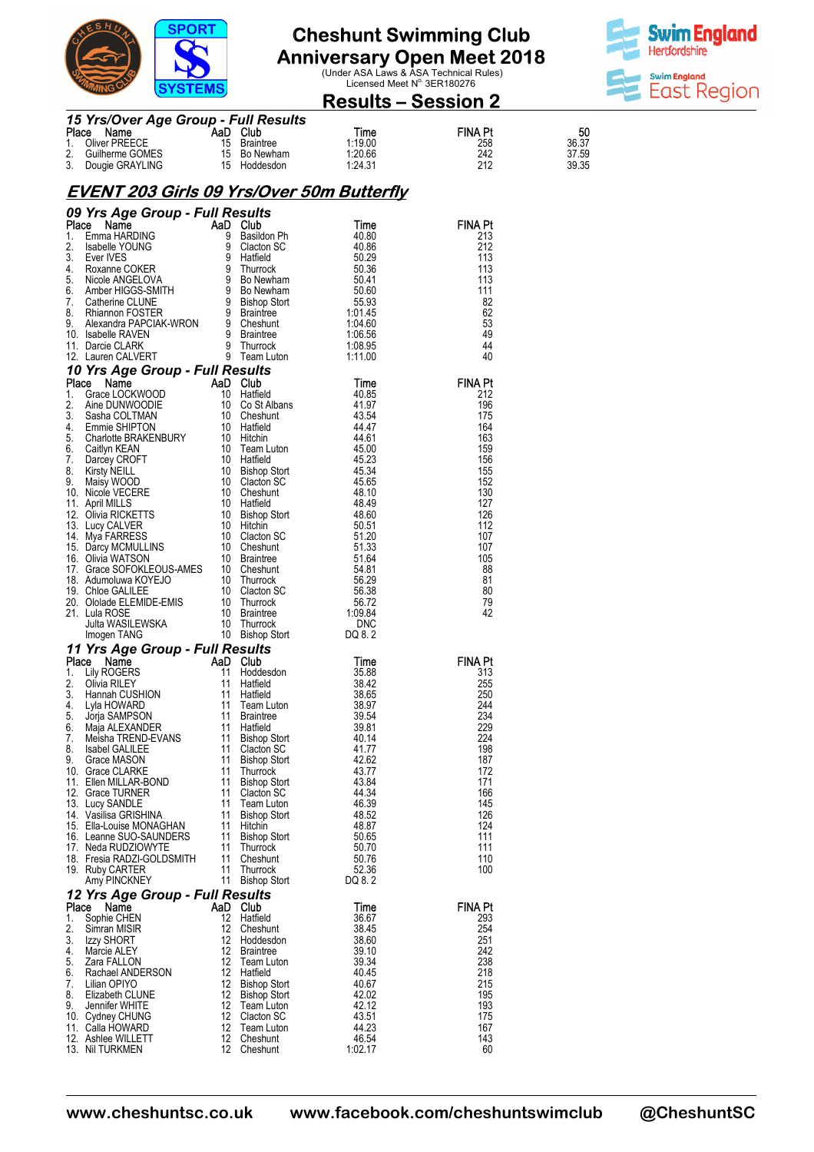

# **Anniversary Open Meet 2018**<br>Under ASA Laws & ASA Technical Rules)<br>Licensed Meet N<sup>o.</sup> 3ER180276



### **Results – Session 2**

|             | 15 Yrs/Over Age Group - Full Results |     |                  |         |                |       |  |
|-------------|--------------------------------------|-----|------------------|---------|----------------|-------|--|
| Place       | Name                                 | AaD | <b>Club</b>      | Time    | <b>FINA Pt</b> | 50    |  |
| $1_{\cdot}$ | Oliver PREECE                        | 15  | <b>Braintree</b> | 1:19.00 | 258            | 36.37 |  |
|             | 2. Guilherme GOMES                   |     | 15 Bo Newham     | 1:20.66 | 242            | 37.59 |  |
|             | 3. Dougie GRAYLING                   |     | 15 Hoddesdon     | 1:24.31 | 212            | 39.35 |  |

### **EVENT 203 Girls 09 Yrs/Over 50m Butterfly**

|          |                                                                                                                                                                                                                                                                 |          |                                            |                  | <b>FINA Pt</b> |
|----------|-----------------------------------------------------------------------------------------------------------------------------------------------------------------------------------------------------------------------------------------------------------------|----------|--------------------------------------------|------------------|----------------|
|          |                                                                                                                                                                                                                                                                 |          |                                            |                  | 213<br>212     |
|          |                                                                                                                                                                                                                                                                 |          |                                            |                  | 113            |
|          |                                                                                                                                                                                                                                                                 |          |                                            |                  | 113            |
|          |                                                                                                                                                                                                                                                                 |          |                                            |                  | 113            |
|          |                                                                                                                                                                                                                                                                 |          |                                            |                  | 111            |
|          |                                                                                                                                                                                                                                                                 |          |                                            |                  | -82            |
|          |                                                                                                                                                                                                                                                                 |          |                                            |                  | 62             |
|          |                                                                                                                                                                                                                                                                 |          |                                            |                  | 53<br>49       |
|          |                                                                                                                                                                                                                                                                 |          |                                            |                  | 44             |
|          |                                                                                                                                                                                                                                                                 |          |                                            |                  | 40             |
|          |                                                                                                                                                                                                                                                                 |          |                                            |                  |                |
|          |                                                                                                                                                                                                                                                                 |          |                                            |                  | <b>FINA Pt</b> |
|          |                                                                                                                                                                                                                                                                 |          |                                            |                  | 212            |
|          |                                                                                                                                                                                                                                                                 |          |                                            |                  | 196            |
|          |                                                                                                                                                                                                                                                                 |          |                                            |                  | 175            |
|          |                                                                                                                                                                                                                                                                 |          |                                            |                  | 164            |
|          |                                                                                                                                                                                                                                                                 |          |                                            |                  | 163            |
|          |                                                                                                                                                                                                                                                                 |          |                                            |                  | 159            |
|          |                                                                                                                                                                                                                                                                 |          |                                            |                  | 156<br>155     |
|          |                                                                                                                                                                                                                                                                 |          |                                            |                  | 152            |
|          |                                                                                                                                                                                                                                                                 |          |                                            |                  | 130            |
|          |                                                                                                                                                                                                                                                                 |          |                                            |                  | 127            |
|          |                                                                                                                                                                                                                                                                 |          |                                            |                  | 126            |
|          |                                                                                                                                                                                                                                                                 |          |                                            |                  | 112            |
|          |                                                                                                                                                                                                                                                                 |          |                                            |                  | 107            |
|          |                                                                                                                                                                                                                                                                 |          |                                            |                  | 107            |
|          |                                                                                                                                                                                                                                                                 |          |                                            |                  | 105            |
|          |                                                                                                                                                                                                                                                                 |          |                                            |                  | 88             |
|          |                                                                                                                                                                                                                                                                 |          |                                            |                  | 81<br>80       |
|          |                                                                                                                                                                                                                                                                 |          |                                            |                  | 79             |
|          |                                                                                                                                                                                                                                                                 |          |                                            |                  | 42             |
|          |                                                                                                                                                                                                                                                                 |          |                                            |                  |                |
|          |                                                                                                                                                                                                                                                                 |          |                                            |                  |                |
|          |                                                                                                                                                                                                                                                                 |          |                                            |                  |                |
|          |                                                                                                                                                                                                                                                                 |          |                                            |                  |                |
|          |                                                                                                                                                                                                                                                                 |          |                                            |                  | <b>FINA Pt</b> |
|          |                                                                                                                                                                                                                                                                 |          |                                            |                  | 313            |
|          |                                                                                                                                                                                                                                                                 |          |                                            |                  | 255            |
|          |                                                                                                                                                                                                                                                                 |          |                                            |                  | 250            |
|          |                                                                                                                                                                                                                                                                 |          |                                            |                  | 244            |
|          |                                                                                                                                                                                                                                                                 |          |                                            |                  | 234            |
|          |                                                                                                                                                                                                                                                                 |          |                                            |                  | 229            |
|          |                                                                                                                                                                                                                                                                 |          |                                            |                  | 224<br>198     |
|          |                                                                                                                                                                                                                                                                 |          |                                            |                  | 187            |
|          |                                                                                                                                                                                                                                                                 |          |                                            |                  | 172            |
|          |                                                                                                                                                                                                                                                                 |          |                                            |                  | 171            |
|          |                                                                                                                                                                                                                                                                 |          |                                            |                  | 166            |
|          |                                                                                                                                                                                                                                                                 |          |                                            |                  | 145            |
|          |                                                                                                                                                                                                                                                                 |          |                                            |                  | 126            |
|          | 15. Ella-Louise MONAGHAN                                                                                                                                                                                                                                        | 11       | Hitchin                                    | 48.87            | 124            |
|          | 16. Leanne SUO-SAUNDERS                                                                                                                                                                                                                                         | 11       | <b>Bishop Stort</b>                        | 50.65            | 111            |
|          | 09 Yrs Agre Group - Full Results<br>1. Email And Cub and Cub and Cub and Cub and An Outo and Cub and Phone (40,06<br>1. Email HARDING 9 Basildon Ph<br>2. Isabelle YOUNG 9 Basildon Ph<br>4. Evantes COKER 9 Harbid 50,40<br>4. Novame C<br>17. Neda RUDZIOWYTE | 11<br>11 | Thurrock                                   | 50.70            | 111            |
|          | 18. Fresia RADZI-GOLDSMITH<br>19. Ruby CARTER                                                                                                                                                                                                                   | 11       | Cheshunt<br>Thurrock                       | 50.76<br>52.36   | 110<br>100     |
|          | Amy PINCKNEY                                                                                                                                                                                                                                                    | 11       | <b>Bishop Stort</b>                        | DQ 8.2           |                |
|          |                                                                                                                                                                                                                                                                 |          |                                            |                  |                |
| Place    | 12 Yrs Age Group - Full Results<br>Name                                                                                                                                                                                                                         | AaD      | Club                                       | Time             | <b>FINA Pt</b> |
| 1.       | Sophie CHEN                                                                                                                                                                                                                                                     | 12       | Hatfield                                   | 36.67            | 293            |
| 2.       | Simran MISIR                                                                                                                                                                                                                                                    | 12       | Cheshunt                                   | 38.45            | 254            |
| 3.       | Izzy SHORT                                                                                                                                                                                                                                                      | 12       | Hoddesdon                                  | 38.60            | 251            |
| 4.       | Marcie ALEY                                                                                                                                                                                                                                                     | 12       | <b>Braintree</b>                           | 39.10            | 242            |
| 5.       | Zara FALLON                                                                                                                                                                                                                                                     | 12       | Team Luton                                 | 39.34            | 238            |
| 6.       | Rachael ANDERSON                                                                                                                                                                                                                                                | 12       | Hatfield                                   | 40.45            | 218            |
| 7.<br>8. | Lilian OPIYO<br>Elizabeth CLUNE                                                                                                                                                                                                                                 | 12<br>12 | <b>Bishop Stort</b><br><b>Bishop Stort</b> | 40.67            | 215<br>195     |
| 9.       | Jennifer WHITE                                                                                                                                                                                                                                                  | 12       | Team Luton                                 | 42.02<br>42.12   | 193            |
|          | 10. Cydney CHUNG                                                                                                                                                                                                                                                | 12       | Clacton SC                                 | 43.51            | 175            |
|          | 11. Calla HOWARD                                                                                                                                                                                                                                                | 12       | Team Luton                                 | 44.23            | 167            |
|          | 12. Ashlee WILLETT<br>13. Nil TURKMEN                                                                                                                                                                                                                           | 12<br>12 | Cheshunt<br>Cheshunt                       | 46.54<br>1:02.17 | 143<br>60      |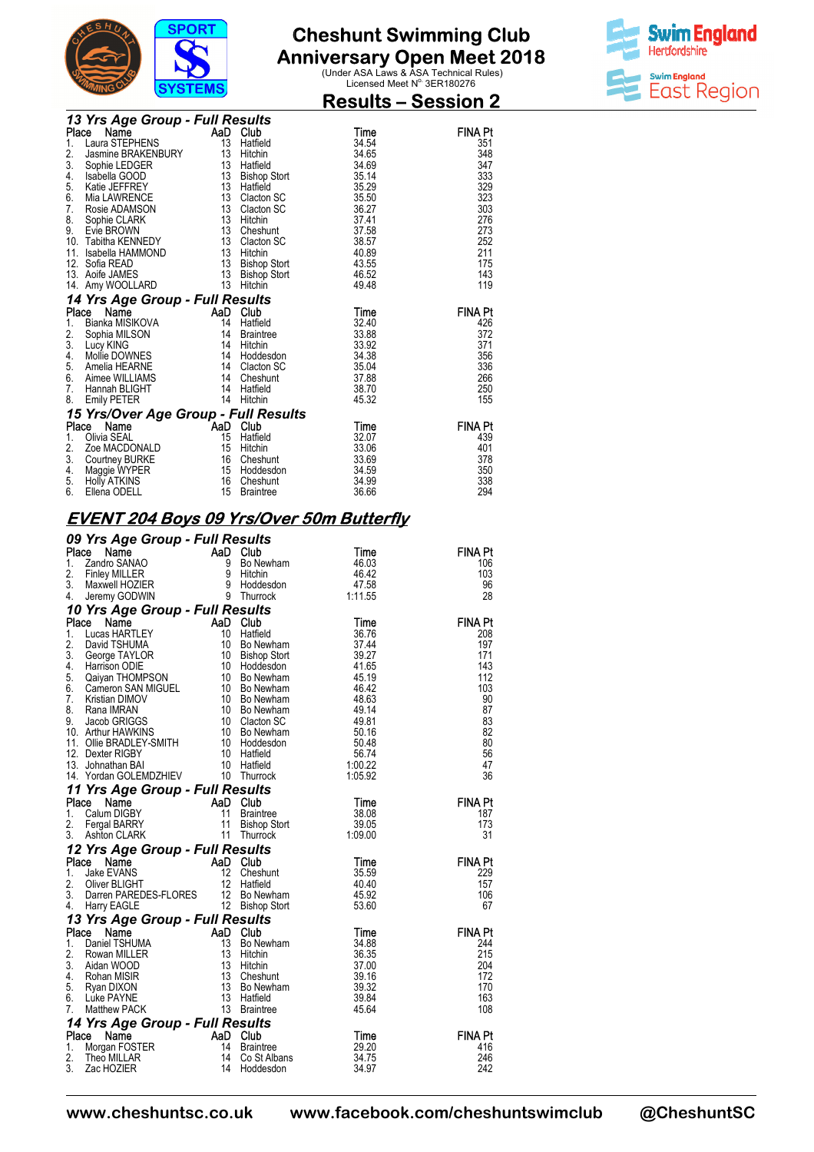

### **Cheshunt Swimming Club Anniversary Open Meet 2018**<br>Under ASA Laws & ASA Technical Rules)<br>Licensed Meet N<sup>o.</sup> 3ER180276

**Results – Session 2** 



|          | 13 Yrs Age Group - Full Results                                                              |                                         |                     |                |            |
|----------|----------------------------------------------------------------------------------------------|-----------------------------------------|---------------------|----------------|------------|
| Place    | Name                                                                                         |                                         | AaD Club            | Time           | FINA Pt    |
| 1.       | $\begin{array}{ll}\n\text{Laura} \\ \text{Laura STEPHENS}\n\end{array}$                      | 13                                      | Hatfield            | 34.54          | 351        |
| 2.       | Jasmine BRAKENBURY 13 Hitchin                                                                |                                         |                     | 34.65          | 348        |
| 3.       |                                                                                              |                                         |                     | 34.69          | 347        |
| 4.       |                                                                                              |                                         | Bishop Stort        | 35.14          | 333        |
| 5.       | Sophie LEDGER<br>Isabella GOOD 13 Hatfield<br>Katie JEFFREY 13 Hatfield                      |                                         |                     | 35.29          | 329        |
| 6.       | Mia LAWRENCE                                                                                 | $\overline{13}$                         | Clacton SC          | 35.50          | 323        |
| 7.       | Rosie ADAMSON                                                                                |                                         | 13 Clacton SC       | 36.27          | 303        |
| 8.       | Sophie CLARK                                                                                 | 13                                      | Hitchin             | 37.41          | 276        |
| 9.       | Evie BROWN<br>Tabitha KENNEDY<br>Isabella HAMMOND<br>13                                      |                                         | Cheshunt            | 37.58          | 273        |
|          | 10. Tabitha KENNEDY                                                                          |                                         | Clacton SC          | 38.57          | 252        |
| 11.      |                                                                                              |                                         | Hitchin             | 40.89          | 211        |
| 12.      | Sofia READ<br>Sofia READ<br>Aoife JAMES                                                      | $\begin{array}{c} 13 \\ 13 \end{array}$ | Bishop Stort        | 43.55          | 175        |
| 13.      |                                                                                              |                                         | <b>Bishop Stort</b> | 46.52          | 143        |
|          | 14. Amy WOOLLARD                                                                             | 13                                      | Hitchin             | 49.48          | 119        |
|          | 14 Yrs Age Group - Full Results                                                              |                                         |                     |                |            |
|          |                                                                                              |                                         |                     |                |            |
|          | Place                                                                                        |                                         |                     |                | FINA Pt    |
| 1.       |                                                                                              |                                         | Hatfield            | Time<br>32.40  | 426        |
|          |                                                                                              |                                         | Braintree           | 33.88          | 372        |
| 2.<br>3. | Ce Name<br>Bianka MISIKOVA<br>Sophia MILSON 14 Braint<br>Lucy KING<br>Lucy KING<br>Lucy KING | 14                                      | Hitchin             | 33.92          | 371        |
| 4.       | Lucy KING 14<br>Mollie DOWNES 14                                                             |                                         | Hoddesdon           | 34.38          | 356        |
| 5.       | Amelia HEARNE                                                                                | $\overline{14}$                         | Clacton SC          | 35.04          | 336        |
| 6.       | Aimee WILLIAMS                                                                               | $\overline{14}$                         | Cheshunt            | 37.88          | 266        |
| 7.       | Hannah BLIGHT                                                                                | 14                                      | Hatfield            | 38.70          | 250        |
| 8.       | <b>Emily PETER</b>                                                                           |                                         | 14 Hitchin          | 45.32          | 155        |
|          |                                                                                              |                                         |                     |                |            |
|          | 15 Yrs/Over Age Group - Full Results<br>Name<br>Place                                        |                                         |                     | Time           | FINA Pt    |
| 1.       | Olivia SEAL                                                                                  |                                         | Hatfield            | 32.07          | 439        |
| 2.       | Zoe MACDONALD                                                                                | AaD Club<br>15 Hatfie<br>15             | Hitchin             | 33.06          | 401        |
| 3.       | Courtney BURKE                                                                               | 16                                      | Cheshunt            | 33.69          | 378        |
| 4.       | Maggie WYPER                                                                                 | 15                                      | Hoddesdon           | 34.59          | 350        |
| 5.<br>6. | <b>Holly ATKINS</b><br>Ellena ODELL                                                          | 16<br>15                                | Cheshunt            | 34.99<br>36.66 | 338<br>294 |

### **EVENT 204 Boys 09 Yrs/Over 50m Butterfly**

|          | 09 Yrs Age Group - Full Results                                                                                                                                                                                                                                                  |                                               |                  |                       |
|----------|----------------------------------------------------------------------------------------------------------------------------------------------------------------------------------------------------------------------------------------------------------------------------------|-----------------------------------------------|------------------|-----------------------|
| Place    | Ce Name $\begin{array}{ccc}\n & - & - & - & \text{array}\n\end{array}$<br>Candro SANAO 9 Bo Newham<br>Finley MILLER 9 Hitchin<br>Maxwell HOZIER 9 Hoddesdon<br>Jeremy GODWIN 9 Thurrock                                                                                          |                                               | Time             | <b>FINA Pt</b>        |
| 1.       |                                                                                                                                                                                                                                                                                  | Bo Newham                                     | 46.03            | 106                   |
| 2.       |                                                                                                                                                                                                                                                                                  |                                               | 46.42            | 103                   |
| 3.       |                                                                                                                                                                                                                                                                                  |                                               | 47.58            | 96                    |
| 4.       |                                                                                                                                                                                                                                                                                  |                                               | 1:11.55          | 28                    |
|          | 10 Yrs Age Group - Full Results                                                                                                                                                                                                                                                  |                                               |                  |                       |
|          | <b>10 Yrs Age Group - Full Results<br/> Place Name<br/> 1. Lucas HARTLEY<br/> 10 Hatfield<br/> 2. David TSHUMA<br/> 3. George TAYLOR<br/> 10 Bishop Stort<br/> 4. Harrison ODIE<br/> 5. Qaiyan THOMPSON<br/> 5. Qaiyan THOMPSON<br/> 6. Cameron SAN MIGUEL<br/> 10 Bishop St</b> |                                               | Time             | <b>FINA Pt</b>        |
|          |                                                                                                                                                                                                                                                                                  |                                               | 36.76            | 208                   |
|          |                                                                                                                                                                                                                                                                                  |                                               | 37.44            | 197                   |
|          |                                                                                                                                                                                                                                                                                  |                                               | 39.27            | 171                   |
|          |                                                                                                                                                                                                                                                                                  |                                               | 41.65            | 143                   |
|          |                                                                                                                                                                                                                                                                                  |                                               | 45.19            | 112                   |
|          |                                                                                                                                                                                                                                                                                  |                                               | 46.42            | 103                   |
|          |                                                                                                                                                                                                                                                                                  |                                               | 48.63            | 90                    |
|          |                                                                                                                                                                                                                                                                                  |                                               | 49.14            | 87                    |
|          |                                                                                                                                                                                                                                                                                  |                                               | 49.81            | 83                    |
|          |                                                                                                                                                                                                                                                                                  |                                               | 50.16            | 82                    |
|          |                                                                                                                                                                                                                                                                                  |                                               | 50.48            | 80                    |
|          |                                                                                                                                                                                                                                                                                  |                                               | 56.74<br>1:00.22 | 56<br>47              |
|          | 14. Yordan GOLEMDZHIEV 10 Thurrock                                                                                                                                                                                                                                               |                                               | 1:05.92          | 36                    |
|          |                                                                                                                                                                                                                                                                                  |                                               |                  |                       |
|          | 11 Yrs Age Group - Full Results                                                                                                                                                                                                                                                  |                                               |                  |                       |
| Place    |                                                                                                                                                                                                                                                                                  |                                               | Time             | <b>FINA Pt</b>        |
| 1.       |                                                                                                                                                                                                                                                                                  | <b>Braintree</b>                              | 38.08            | 187<br>173            |
| 2.<br>3. | Ce Name AaD Club<br>Calum DIGBY 11 Braint<br>Fergal BARRY 11 Bishop<br>Ashton CLARK 11 Thurre                                                                                                                                                                                    | Braintrec<br>Bishop Stort<br>Took<br>Thurrock | 39.05<br>1:09.00 | 31                    |
|          |                                                                                                                                                                                                                                                                                  |                                               |                  |                       |
|          | 12 Yrs Age Group - Full Results                                                                                                                                                                                                                                                  |                                               |                  |                       |
|          | Place<br>Compare the COMB of the COMB of the COMB of the COMB of the COMB of the COMB of the COMB of the COMB of the COMB of the COMB of the COMB of the COMB of the COMB of the COMB of the COMB of the COMB of the COMB of the COMB o                                          |                                               | Time             | <b>FINA Pt</b>        |
| 1.<br>2. |                                                                                                                                                                                                                                                                                  | Cheshunt                                      | 35.59            | 229<br>157            |
| 3.       |                                                                                                                                                                                                                                                                                  | Hatfield                                      | 40.40<br>45.92   | 106                   |
| 4.       | Driver DEDITITY<br>Darren PAREDES-FLORES 12 Bo Newham<br>Harry FAGLE 12 Bishop Stort                                                                                                                                                                                             |                                               | 53.60            | 67                    |
|          |                                                                                                                                                                                                                                                                                  |                                               |                  |                       |
|          | 13 Yrs Age Group - Full Results                                                                                                                                                                                                                                                  |                                               |                  |                       |
| Place    | Compared to the Manne Compared to the Manne Compared to the Red Club<br>Daniel TSHUMA<br>Rowan MILLER 13 Hitchin<br>Aidan WOOD 13 Hitchin<br>Ryan DIXON 13 Go Ne<br>Luke PAYNE 13 Hatfiel<br>Matthew PACK 13 Hatfiel<br>Matthew PACK 13 Brai                                     |                                               | Time             | <b>FINA Pt</b><br>244 |
| 1.<br>2. |                                                                                                                                                                                                                                                                                  | Bo Newham                                     | 34.88<br>36.35   | 215                   |
| 3.       |                                                                                                                                                                                                                                                                                  | Hitchin<br>Hitchin                            | 37.00            | 204                   |
| 4.       |                                                                                                                                                                                                                                                                                  | Cheshunt                                      | 39.16            | 172                   |
| 5.       |                                                                                                                                                                                                                                                                                  | Bo Newham                                     | 39.32            | 170                   |
| 6.       |                                                                                                                                                                                                                                                                                  | Hatfield                                      | 39.84            | 163                   |
| 7.       |                                                                                                                                                                                                                                                                                  | 13 Braintree                                  | 45.64            | 108                   |
|          | 14 Yrs Age Group - Full Results                                                                                                                                                                                                                                                  |                                               |                  |                       |
|          | Place                                                                                                                                                                                                                                                                            |                                               | Time             | <b>FINA Pt</b>        |
| 1.       |                                                                                                                                                                                                                                                                                  | <b>Braintree</b>                              | 29.20            | 416                   |
| 2.       |                                                                                                                                                                                                                                                                                  | Co St Albans                                  | 34.75            | 246                   |
| 3.       | Compare Compare Compare Compare Compare Compare Compare Compare Compare Compare Compare Compare Compare Compare Compare Compare Compare Compare Compare Compare Compare Compare Compare Compare Compare Compare Compare Compar                                                   | Hoddesdon                                     | 34.97            | 242                   |
|          |                                                                                                                                                                                                                                                                                  |                                               |                  |                       |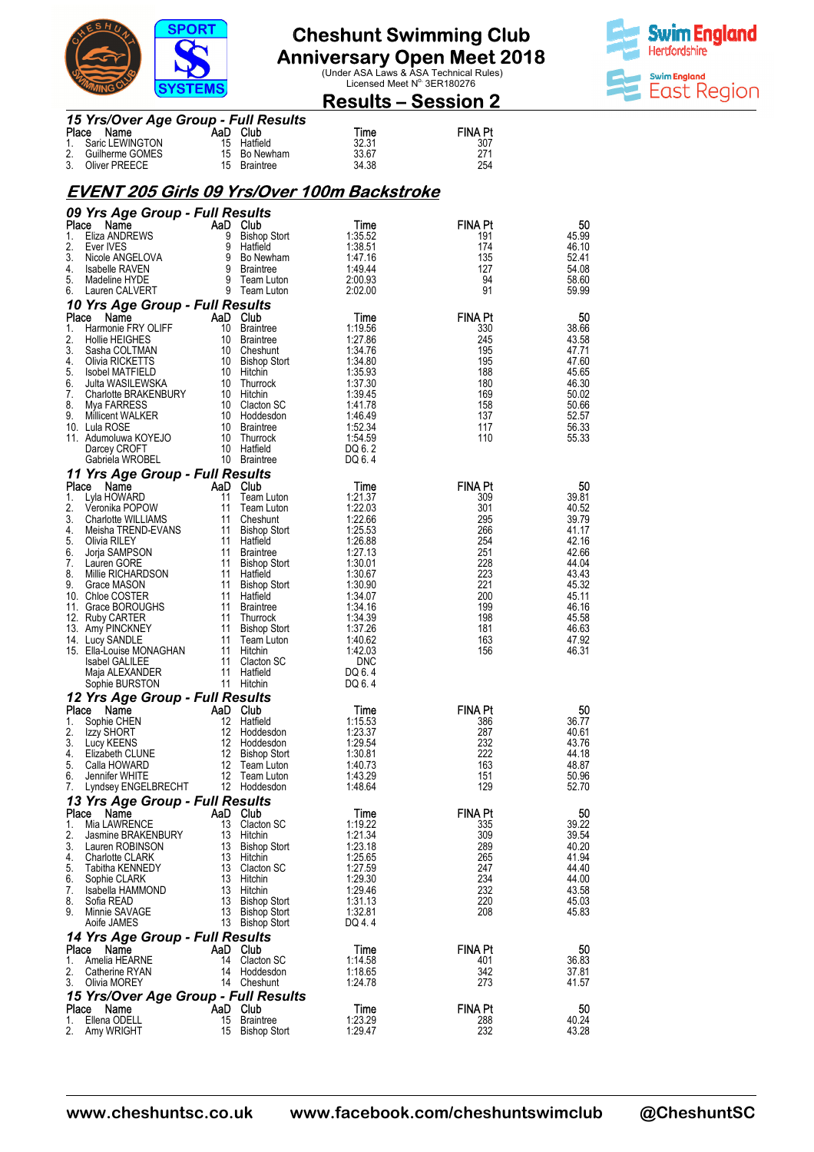

# **Anniversary Open Meet 2018**<br>Under ASA Laws & ASA Technical Rules)<br>Licensed Meet N<sup>o.</sup> 3ER180276



**Results – Session 2** 

| 15 Yrs/Over Age Group - Full Results |     |              |       |                |  |  |
|--------------------------------------|-----|--------------|-------|----------------|--|--|
| Place Name                           | AaD | Club         | Time  | <b>FINA PI</b> |  |  |
| 1. Saric LEWINGTON                   |     | 15 Hatfield  | 32.31 | 307            |  |  |
| 2. Guilherme GOMES                   |     | 15 Bo Newham | 33.67 | 271            |  |  |
| 3. Oliver PREECE                     |     | 15 Braintree | 34.38 | 254            |  |  |

#### **EVENT 205 Girls 09 Yrs/Over 100m Backstroke**

|             | 09 Yrs Age Group - Full Results         |                |                                 |                    |                       |                |
|-------------|-----------------------------------------|----------------|---------------------------------|--------------------|-----------------------|----------------|
|             | Place<br>Name                           | AaD Club       |                                 | Time               | <b>FINA Pt</b>        | 50             |
| 1.<br>2.    | Eliza ANDREWS                           | 9<br>9         | <b>Bishop Stort</b>             | 1:35.52<br>1:38.51 | 191<br>174            | 45.99          |
| 3.          | Ever IVES<br>Nicole ANGELOVA            |                | Hatfield<br>9 Bo Newham         | 1.47.16            | 135                   | 46.10<br>52.41 |
| 4.          | Isabelle RAVEN                          | 9              | <b>Braintree</b>                | 1:49.44            | 127                   | 54.08          |
| 5.          | Madeline HYDE                           |                | 9 Team Luton                    | 2:00.93            | 94                    | 58.60          |
| 6.          | Lauren CALVERT                          |                | 9 Team Luton                    | 2:02.00            | 91                    | 59.99          |
|             | 10 Yrs Age Group - Full Results         |                |                                 |                    |                       |                |
| Place<br>1. | Name<br>Harmonie FRY OLIFF              | AaD Club       | 10 Braintree                    | Time<br>1:19.56    | FINA Pt<br>330        | 50<br>38.66    |
| 2.          | Hollie HEIGHES                          |                | 10 Braintree                    | 1:27.86            | 245                   | 43.58          |
| 3.          | Sasha COLTMAN                           |                | 10 Cheshunt                     | 1:34.76            | 195                   | 47.71          |
| 4.          | Olivia RICKETTS                         |                | 10 Bishop Stort                 | 1:34.80            | 195                   | 47.60          |
| 5.<br>6.    | Isobel MATFIELD<br>Julta WASILEWSKA     |                | 10 Hitchin<br>10 Thurrock       | 1:35.93<br>1:37.30 | 188<br>180            | 45.65<br>46.30 |
| 7.          | Charlotte BRAKENBURY                    |                | 10 Hitchin                      | 1:39.45            | 169                   | 50.02          |
| 8.          | Mya FARRESS                             |                | 10 Clacton SC                   | 1:41.78            | 158                   | 50.66          |
| 9.          | Millicent WALKER                        |                | 10 Hoddesdon                    | 1.46.49            | 137                   | 52.57          |
|             | 10. Lula ROSE<br>11. Adumoluwa KOYEJO   |                | 10 Braintree<br>10 Thurrock     | 1:52.34<br>1:54.59 | 117<br>110            | 56.33<br>55.33 |
|             | Darcey CROFT                            |                | 10 Hatfield                     | DQ 6.2             |                       |                |
|             | Gabriela WROBEL                         |                | 10 Braintree                    | DQ 6.4             |                       |                |
|             | 11 Yrs Age Group - Full Results         |                |                                 |                    |                       |                |
| Place       | Name                                    | AaD Club       |                                 | Time               | <b>FINA Pt</b>        | 50             |
| 1.<br>2.    | Lyla HOWARD<br>Veronika POPOW           | 11<br>11       | Team Luton<br>Team Luton        | 1:21.37<br>1:22.03 | 309<br>301            | 39.81<br>40.52 |
| 3.          | Charlotte WILLIAMS                      | 11             | Cheshunt                        | 1:22.66            | 295                   | 39.79          |
| 4.          | Meisha TREND-EVANS                      |                | 11 Bishop Stort                 | 1:25.53            | 266                   | 41.17          |
| 5.          | Olivia RILEY                            |                | 11 Hatfield                     | 1:26.88            | 254                   | 42.16          |
| 6.<br>7.    | Jorja SAMPSON                           |                | 11 Braintree                    | 1:27.13<br>1:30.01 | 251<br>228            | 42.66<br>44.04 |
| 8.          | Lauren GORE<br>Millie RICHARDSON        |                | 11 Bishop Stort<br>11 Hatfield  | 1:30.67            | 223                   | 43.43          |
| 9.          | Grace MASON                             |                | 11 Bishop Stort                 | 1:30.90            | 221                   | 45.32          |
|             | 10. Chloe COSTER                        |                | 11 Hatfield                     | 1:34.07            | 200                   | 45.11          |
|             | 11. Grace BOROUGHS                      |                | 11 Braintree                    | 1:34.16            | 199<br>198            | 46.16<br>45.58 |
|             | 12. Ruby CARTER<br>13. Amy PINCKNEY     |                | 11 Thurrock<br>11 Bishop Stort  | 1:34.39<br>1:37.26 | 181                   | 46.63          |
|             | 14. Lucy SANDLE                         |                | 11 Team Luton                   | 1:40.62            | 163                   | 47.92          |
|             | 15. Ella-Louise MONAGHAN                |                | 11 Hitchin                      | 1:42.03            | 156                   | 46.31          |
|             | <b>Isabel GALILEE</b>                   |                | 11 Clacton SC                   | <b>DNC</b>         |                       |                |
|             | Maja ALEXANDER<br>Sophie BURSTON        |                | 11 Hatfield<br>11 Hitchin       | DQ 6.4<br>DQ 6.4   |                       |                |
|             | 12 Yrs Age Group - Full Results         |                |                                 |                    |                       |                |
|             | Place Name                              | AaD Club       |                                 | Time               | <b>FINA Pt</b>        | 50             |
| 1.          | Sophie CHEN                             |                | 12 Hatfield                     | 1:15.53            | 386                   | 36.77          |
| 2.          | Izzy SHORT                              |                | 12 Hoddesdon                    | 1:23.37            | 287                   | 40.61          |
| 3.<br>4.    | Lucy KEENS<br>Elizabeth CLUNE           |                | 12 Hoddesdon<br>12 Bishop Stort | 1:29.54<br>1:30.81 | 232<br>222            | 43.76<br>44.18 |
| 5.          | Calla HOWARD                            |                | 12 Team Luton                   | 1:40.73            | 163                   | 48.87          |
| 6.          | Jennifer WHITE                          |                | 12 Team Luton                   | 1:43.29            | 151                   | 50.96          |
| 7.          | Lyndsey ENGELBRECHT                     |                | 12 Hoddesdon                    | 1:48.64            | 129                   | 52.70          |
|             | 13 Yrs Age Group - Full Results         |                |                                 |                    |                       |                |
| 1.          | Place Name<br>Mia LAWRENCE              | AaD Club<br>13 | Clacton SC                      | Time<br>1:19.22    | <b>FINA Pt</b><br>335 | 50<br>39.22    |
| 2.          | Jasmine BRAKENBURY                      | 13             | Hitchin                         | 1:21.34            | 309                   | 39.54          |
| 3.          | Lauren ROBINSON                         | 13             | <b>Bishop Stort</b>             | 1:23.18            | 289                   | 40.20          |
| 4.          | <b>Charlotte CLARK</b>                  | 13             | Hitchin                         | 1:25.65            | 265                   | 41.94          |
| 5.<br>6.    | Tabitha KENNEDY<br>Sophie CLARK         | 13<br>13       | Clacton SC<br>Hitchin           | 1:27.59<br>1:29.30 | 247<br>234            | 44.40<br>44.00 |
| 7.          | Isabella HAMMOND                        | 13             | Hitchin                         | 1:29.46            | 232                   | 43.58          |
| 8.          | Sofia READ                              | 13             | <b>Bishop Stort</b>             | 1:31.13            | 220                   | 45.03          |
| 9.          | Minnie SAVAGE                           | 13             | <b>Bishop Stort</b>             | 1:32.81            | 208                   | 45.83          |
|             | Aoife JAMES                             | 13             | <b>Bishop Stort</b>             | DQ 4.4             |                       |                |
| Place       | 14 Yrs Age Group - Full Results<br>Name | AaD Club       |                                 | Time               | <b>FINA Pt</b>        | 50             |
| 1.          | Amelia HEARNE                           | 14             | Clacton SC                      | 1:14.58            | 401                   | 36.83          |
| 2.          | Catherine RYAN                          | 14             | Hoddesdon                       | 1:18.65            | 342                   | 37.81          |
| 3.          | Olivia MOREY                            |                | 14 Cheshunt                     | 1:24.78            | 273                   | 41.57          |
|             | 15 Yrs/Over Age Group - Full Results    |                |                                 |                    |                       |                |
| Place<br>1. | Name<br>Ellena ODELL                    | AaD Club<br>15 | Braintree                       | Time<br>1:23.29    | FINA Pt<br>288        | 50<br>40.24    |
| 2.          | Amy WRIGHT                              | 15             | <b>Bishop Stort</b>             | 1:29.47            | 232                   | 43.28          |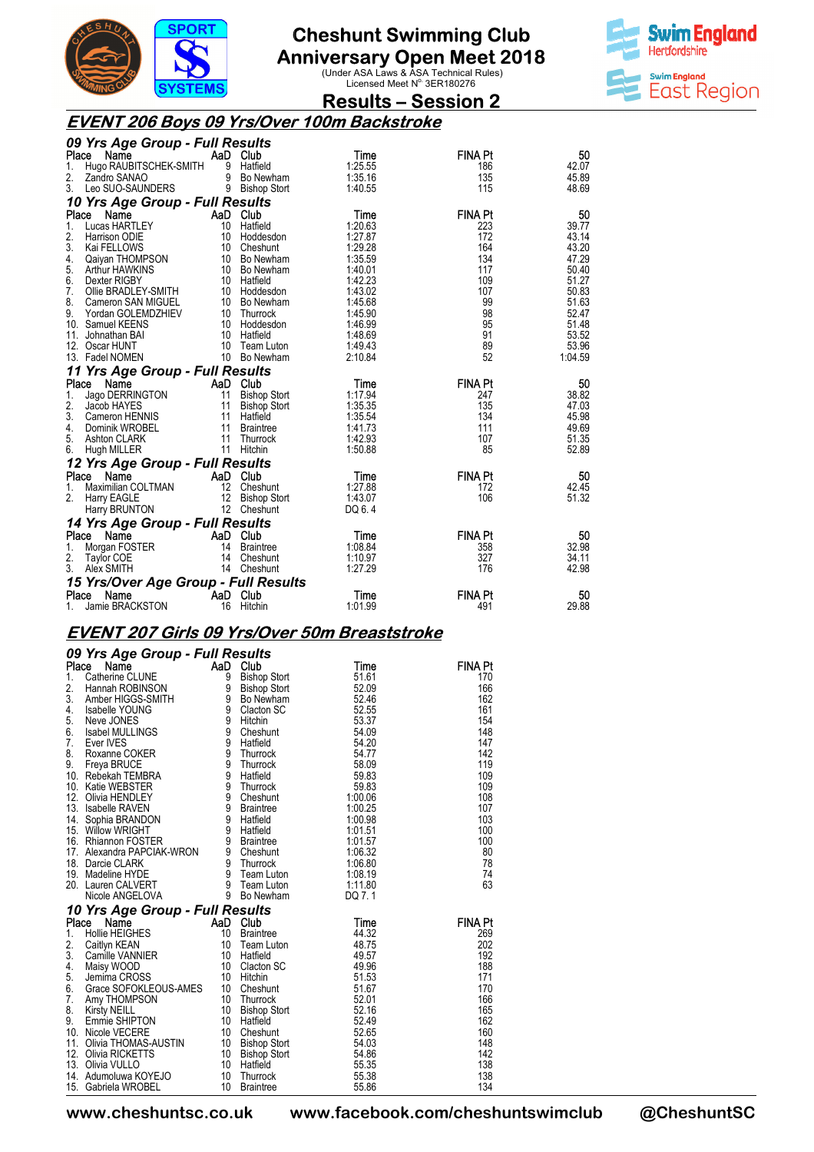

**Anniversary Open Meet 2018**<br>Under ASA Laws & ASA Technical Rules)<br>Licensed Meet N<sup>o.</sup> 3ER180276



**Results – Session 2** 

### **EVENT 206 Boys 09 Yrs/Over 100m Backstroke**

| 09 Yrs Age Group - Full Results                                          |                           |         |                |         |
|--------------------------------------------------------------------------|---------------------------|---------|----------------|---------|
| Place<br>Name                                                            | AaD Club                  | Time    | <b>FINA Pt</b> | 50      |
| Hugo RAUBITSCHEK-SMITH<br>1.                                             | 9<br>Hatfield             | 1:25.55 | 186            | 42.07   |
| 2.<br>Zandro SANAO                                                       | 9<br>Bo Newham            | 1:35.16 | 135            | 45.89   |
| 3.<br>Leo SUO-SAUNDERS                                                   | 9 Bishop Stort            | 1:40.55 | 115            | 48.69   |
| 10 Yrs Age Group - Full Results                                          |                           |         |                |         |
| Place<br>Name                                                            | AaD<br>Club               | Time    | <b>FINA Pt</b> | 50      |
| 1.<br>Lucas HARTLEY                                                      | 10<br>Hatfield            | 1:20.63 | 223            | 39.77   |
| 2.<br>Harrison ODIE                                                      | 10<br>Hoddesdon           | 1:27.87 | 172            | 43.14   |
| 3.<br>Kai FELLOWS                                                        | 10<br>Cheshunt            | 1:29.28 | 164            | 43.20   |
| 4.<br>Qaiyan THOMPSON                                                    | 10 Bo Newham              | 1:35.59 | 134            | 47.29   |
| 5.<br>Arthur HAWKINS                                                     | 10 Bo Newham              | 1:40.01 | 117            | 50.40   |
| 6.<br>Dexter RIGBY                                                       | 10 Hatfield               | 1:42.23 | 109            | 51.27   |
| 7.<br>Ollie BRADLEY-SMITH                                                | 10 Hoddesdon              | 1:43.02 | 107            | 50.83   |
| 8.<br>Cameron SAN MIGUEL                                                 | 10 Bo Newham              | 1:45.68 | 99             | 51.63   |
| 9.<br>Yordan GOLEMDZHIEV                                                 | 10 Thurrock               | 1:45.90 | 98             | 52.47   |
| 10. Samuel KEENS                                                         | 10 Hoddesdon              | 1:46.99 | 95             | 51.48   |
| 11.<br>Johnathan BAI                                                     | 10 Hatfield               | 1:48.69 | 91             | 53.52   |
| 12. Oscar HUNT                                                           | 10 Team Luton             | 1:49.43 | 89             | 53.96   |
| 13. Fadel NOMEN                                                          | 10 Bo Newham              | 2:10.84 | 52             | 1:04.59 |
| 11 Yrs Age Group - Full Results                                          |                           |         |                |         |
|                                                                          |                           |         |                |         |
|                                                                          |                           |         |                |         |
| Name<br>Place                                                            | AaD Club                  | Time    | <b>FINA Pt</b> | 50      |
| Jago DERRINGTON<br>1.                                                    | 11<br><b>Bishop Stort</b> | 1:17.94 | 247            | 38.82   |
| 2.<br>Jacob HAYES                                                        | 11<br><b>Bishop Stort</b> | 1:35.35 | 135            | 47.03   |
| 3.<br>Cameron HENNIS                                                     | 11<br>Hatfield            | 1:35.54 | 134            | 45.98   |
| 4.<br>Dominik WROBEL                                                     | 11<br><b>Braintree</b>    | 1:41.73 | 111            | 49.69   |
| 5.<br><b>Ashton CLARK</b>                                                | 11<br>Thurrock            | 1:42.93 | 107            | 51.35   |
| 6.<br>Hugh MILLER                                                        | 11<br>Hitchin             | 1:50.88 | 85             | 52.89   |
| 12 Yrs Age Group - Full Results                                          |                           |         |                |         |
| Place<br>Name                                                            | AaD Club                  | Time    | <b>FINA Pt</b> | 50      |
| Maximilian COLTMAN<br>1.                                                 | 12<br>Cheshunt            | 1:27.88 | 172            | 42.45   |
| 2.<br>Harry EAGLE                                                        | 12<br><b>Bishop Stort</b> | 1:43.07 | 106            | 51.32   |
| Harry BRUNTON                                                            | 12 Cheshunt               | DQ 6.4  |                |         |
|                                                                          |                           |         |                |         |
| 14 Yrs Age Group - Full Results<br>Place<br>Name                         | AaD Club                  | Time    | <b>FINA Pt</b> | 50      |
| Morgan FOSTER<br>1.                                                      | 14<br><b>Braintree</b>    | 1:08.84 | 358            | 32.98   |
| 2.<br>Taylor COE                                                         | 14<br>Cheshunt            | 1:10.97 | 327            | 34.11   |
| 3.<br>Alex SMITH                                                         | 14 Cheshunt               | 1:27.29 | 176            | 42.98   |
|                                                                          |                           |         |                |         |
| 15 Yrs/Over Age Group - Full Results<br>Name<br>Place<br>Jamie BRACKSTON | AaD Club                  | Time    | <b>FINA Pt</b> | 50      |

### **EVENT 207 Girls 09 Yrs/Over 50m Breaststroke**

|       | 09 Yrs Age Group - Full Results                                                                                                                                                                                                                                                            |     |                     |                    |                |
|-------|--------------------------------------------------------------------------------------------------------------------------------------------------------------------------------------------------------------------------------------------------------------------------------------------|-----|---------------------|--------------------|----------------|
| Place | Name<br>Cambridge Marie CLUNE<br>Catherine CLUNE 9 Bishop Stort<br>Hannah ROBINSON<br>Amber HIGGS-SMITH 9 Bo Newham<br>Isabelle YOUNG 9 Clacton SC<br>Neve JONES                                                                                                                           | AaD | Club                | Time               | FINA Pt        |
| 1.    |                                                                                                                                                                                                                                                                                            |     | <b>Bishop Stort</b> | 51.61              | 170            |
| 2.    |                                                                                                                                                                                                                                                                                            |     | 9 Bishop Stort      | 52.09              | 166            |
| 3.    |                                                                                                                                                                                                                                                                                            |     |                     | 52.46              | 162            |
| 4.    |                                                                                                                                                                                                                                                                                            |     |                     | 52.55              | 161            |
| 5.    |                                                                                                                                                                                                                                                                                            |     |                     | 53.37              | 154            |
| 6.    | Isabel MULLINGS                                                                                                                                                                                                                                                                            | 9   | Cheshunt            | 54.09              | 148            |
|       |                                                                                                                                                                                                                                                                                            |     |                     | 54.20              | 147            |
|       |                                                                                                                                                                                                                                                                                            |     |                     | 54.77              | 142            |
|       |                                                                                                                                                                                                                                                                                            |     |                     | 58.09              | 119            |
|       |                                                                                                                                                                                                                                                                                            |     |                     | 59.83              | 109            |
|       |                                                                                                                                                                                                                                                                                            |     |                     | 59.83              | 109            |
|       |                                                                                                                                                                                                                                                                                            |     |                     | 1:00.06            | 108            |
|       |                                                                                                                                                                                                                                                                                            |     |                     | 1:00.25            | 107            |
|       |                                                                                                                                                                                                                                                                                            |     |                     | 1:00.98<br>1:01.51 | 103<br>100     |
|       |                                                                                                                                                                                                                                                                                            |     |                     | 1:01.57            | 100            |
|       |                                                                                                                                                                                                                                                                                            |     |                     | 1:06.32            | 80             |
|       |                                                                                                                                                                                                                                                                                            |     |                     | 1:06.80            | 78             |
|       |                                                                                                                                                                                                                                                                                            |     |                     | 1:08.19            | 74             |
|       |                                                                                                                                                                                                                                                                                            |     |                     | 1:11.80            | 63             |
|       |                                                                                                                                                                                                                                                                                            |     |                     | DQ 7.1             |                |
|       | 6. Isabel MULLINGS<br>7. Ever IVES<br>8. Roxanne COKER<br>9. Thurrock<br>9. Treya BRUCE<br>10. Rebekah TEMBRA<br>10. Katie WEBSTER<br>10. Katie WEBSTER<br>10. Katie WEBSTER<br>13. Isabelle RAVEN<br>13. Isabelle RAVEN<br>14. Sophia BRANDON<br>15.                                      |     |                     |                    |                |
| Place | 10 Yrs Age Group - Full Results<br><b>PTS Agree STOLE - PLATE AGRICULT MAD CUB</b><br><b>COMPLEMENT AGRICULT AGRICULT AGRICULT AGRICULT AGRICULT CARRIED MANUS CARRIED MANUS MANUS JOURNAMES - 10 Clacton SC<br/> Jenning CROSS 10 Hitchin<br/> Crace SOFOKLEOUS-AMES 10 Cheshunt<br/></b> |     |                     |                    | <b>FINA Pt</b> |
| 1.    |                                                                                                                                                                                                                                                                                            |     |                     | Time<br>44.32      | 269            |
| 2.    |                                                                                                                                                                                                                                                                                            |     |                     | 48.75              | 202            |
| 3.    |                                                                                                                                                                                                                                                                                            |     |                     | 49.57              | 192            |
| 4.    |                                                                                                                                                                                                                                                                                            |     |                     | 49.96              | 188            |
| 5.    |                                                                                                                                                                                                                                                                                            |     |                     | 51.53              | 171            |
| 6.    |                                                                                                                                                                                                                                                                                            |     |                     | 51.67              | 170            |
| 7.    |                                                                                                                                                                                                                                                                                            |     |                     | 52.01              | 166            |
| 8.    |                                                                                                                                                                                                                                                                                            |     |                     | 52.16              | 165            |
| 9.    |                                                                                                                                                                                                                                                                                            |     |                     | 52.49              | 162            |
|       | 10. Nicole VECERE                                                                                                                                                                                                                                                                          |     |                     | 52.65              | 160            |
| 11.   |                                                                                                                                                                                                                                                                                            |     | <b>Bishop Stort</b> | 54.03              | 148            |
| 12.   |                                                                                                                                                                                                                                                                                            |     | Bishop Stort        | 54.86              | 142            |
|       | 13. Olivia VULLO                                                                                                                                                                                                                                                                           |     | Hatfield            | 55.35              | 138            |
|       | Olivia THOMAS-AUSTIN 10<br>Olivia RICKETTS 10<br>Olivia VULLO 10<br>Adumoluwa KOYEJO 10<br>14. Adumoluwa KOYEJO                                                                                                                                                                            |     | Thurrock            | 55.38              | 138            |
|       | 15. Gabriela WROBEL                                                                                                                                                                                                                                                                        | 10  | <b>Braintree</b>    | 55.86              | 134            |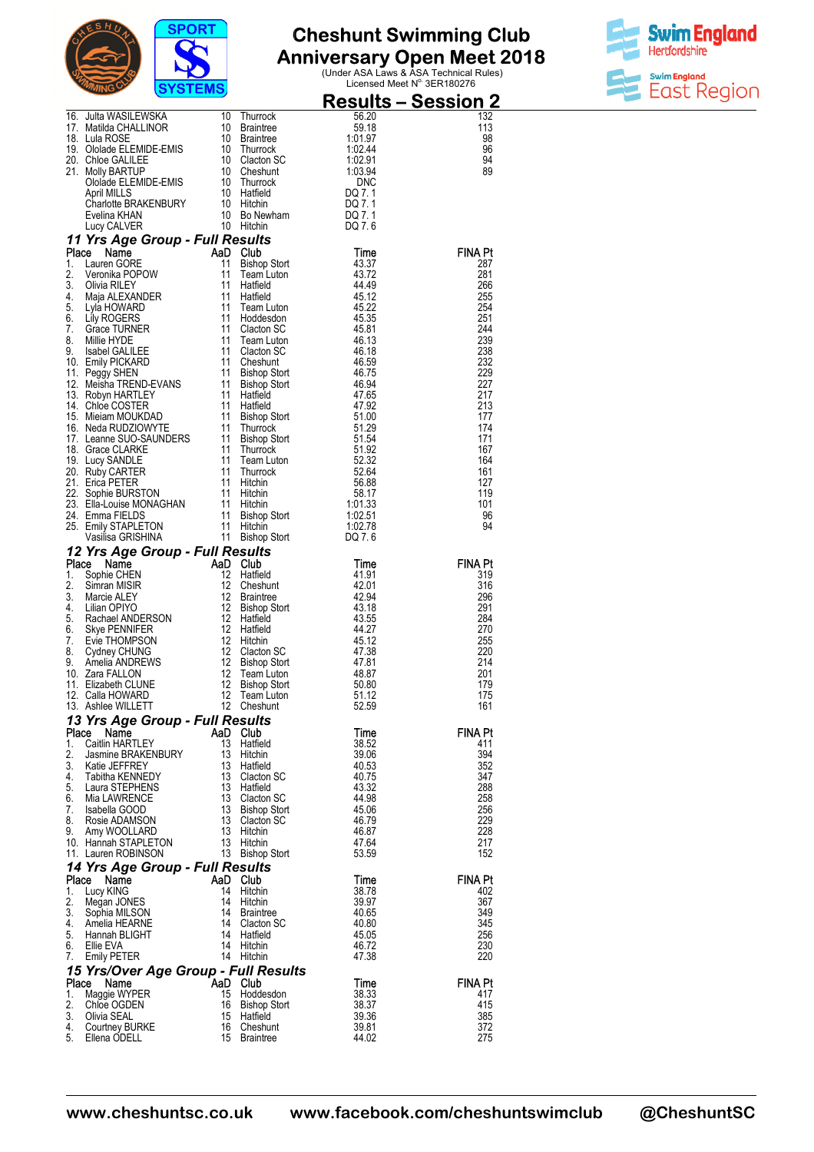



|             |                                                                                                                                                                                                                                                                               |                |                                      |                           | <u> Results – Session 2</u> |
|-------------|-------------------------------------------------------------------------------------------------------------------------------------------------------------------------------------------------------------------------------------------------------------------------------|----------------|--------------------------------------|---------------------------|-----------------------------|
|             | 16. Julta WASILEWSKA<br>17. Matilda CHALLINOR<br>18. Jule POSE                                                                                                                                                                                                                |                | 10 Thurrock                          | 56.20                     | 132                         |
|             | 18. Lula ROSE                                                                                                                                                                                                                                                                 | 10<br>10       | <b>Braintree</b><br><b>Braintree</b> | 59.18<br>1:01.97          | 113<br>98                   |
|             |                                                                                                                                                                                                                                                                               |                |                                      | 1:02.44                   | 96                          |
|             |                                                                                                                                                                                                                                                                               |                |                                      | 1:02.91<br>1:03.94        | 94<br>89                    |
|             | 10 Dialogue<br>10 Dialogue Dialogue Dialogue<br>20 Chioe GALILEE<br>21 Molly BARTUP<br>21 Molly BARTUP<br>21 Mollade ELEMIDE-EMIS<br>21 Dialogue Dialogue<br>21 Mollade ELEMIDE-EMIS<br>21 Dialogue Dialogue<br>21 Dialogue Dialogue<br>21 Dialogu                            |                |                                      | DNC                       |                             |
|             | <b>April MILLS</b>                                                                                                                                                                                                                                                            |                |                                      | DQ 7.1                    |                             |
|             |                                                                                                                                                                                                                                                                               |                |                                      | DQ 7.1<br>DQ 7.1          |                             |
|             | April will LS<br>Charlotte BRAKENBURY 10 Hitchin<br>Evelina KHAN 10 Bo Newham<br>Lucy CALVER 10 Hitchin                                                                                                                                                                       |                |                                      | DQ 7.6                    |                             |
|             | 11 Yrs Age Group - Full Results                                                                                                                                                                                                                                               |                |                                      |                           |                             |
| Place<br>1. | Map Club<br>11 Bishop<br>11 Team<br>11 Hatfiel<br>Name<br>Lauren GORE                                                                                                                                                                                                         |                |                                      | Time<br>43.37             | <b>FINA Pt</b><br>287       |
| 2.          | Veronika POPOW<br>Olivia RILEY                                                                                                                                                                                                                                                |                | Bishop Stort<br>Team Luton           | 43.72                     | 281                         |
| 3.          |                                                                                                                                                                                                                                                                               |                | Hatfield                             | 44.49                     | 266                         |
| 4.<br>5.    |                                                                                                                                                                                                                                                                               | 11<br>11       | Hatfield                             | 45.12<br>45.22            | 255<br>254                  |
| 6.          | verunni<br>Olivia RILEY<br>Maja ALEXANDER<br>Lily ROGERS<br>Grace TURNER                                                                                                                                                                                                      | 11             | Team Luton<br>Hoddesdon              | 45.35                     | 251                         |
| 7.<br>8.    |                                                                                                                                                                                                                                                                               | 11<br>11       | Clacton SC                           | 45.81<br>46.13            | 244<br>239                  |
|             |                                                                                                                                                                                                                                                                               | 11             | Team Luton<br>Clacton SC             | 46.18                     | 238                         |
|             | 9. Isabel GALILEE<br>10. Emily PICKARD<br>11. Peggy SHEN                                                                                                                                                                                                                      | 11             | Cheshunt                             | 46.59                     | 232                         |
|             |                                                                                                                                                                                                                                                                               |                |                                      | 46.75<br>46.94            | 229<br>227                  |
|             |                                                                                                                                                                                                                                                                               |                |                                      | 47.65                     | 217                         |
|             |                                                                                                                                                                                                                                                                               |                |                                      | 47.92<br>51.00            | 213<br>177                  |
|             |                                                                                                                                                                                                                                                                               |                |                                      | 51.29                     | 174                         |
|             |                                                                                                                                                                                                                                                                               |                |                                      | 51.54                     | 171                         |
|             |                                                                                                                                                                                                                                                                               |                |                                      | 51.92<br>52.32            | 167<br>164                  |
|             |                                                                                                                                                                                                                                                                               |                |                                      | 52.64                     | 161                         |
|             |                                                                                                                                                                                                                                                                               |                |                                      | $56.88$<br>56.88<br>58.17 | 127                         |
|             |                                                                                                                                                                                                                                                                               |                |                                      | 1:01.33                   | 119<br>101                  |
|             |                                                                                                                                                                                                                                                                               |                |                                      | $\frac{1.02.51}{1.02.78}$ | 96                          |
|             |                                                                                                                                                                                                                                                                               |                |                                      | 1:02.78<br>DQ 7.6         | 94                          |
|             | 10. Emily Prichard 11 Bishop Stort<br>12. Meisha TREND-EVANS 11 Bishop Stort<br>12. Meisha TREND-EVANS 11 Bishop Stort<br>13. Robyn HARTLEY 11 Hatfield<br>14. Chloe COSTER 11 Hatfield<br>16. Meiam MOUKDAD 11 Bishop Stort<br>16. Neda R<br>12 Yrs Age Group - Full Results |                |                                      |                           |                             |
| Place       | AaD Club<br>12 Haffie<br>12 Chest<br>12 Braint<br>12 Brain<br>Name                                                                                                                                                                                                            |                |                                      | Time                      | <b>FINA Pt</b>              |
| 1.<br>2.    | Sophie CHEN<br>Simran MISIR                                                                                                                                                                                                                                                   |                | Hatfield<br>Cheshunt                 | 41.91<br>42.01            | 319<br>316                  |
| 3.          | Marcie ALEY                                                                                                                                                                                                                                                                   |                | <b>Braintree</b>                     | 42.94                     | 296                         |
| 4.<br>5.    | Lilian OPIYO                                                                                                                                                                                                                                                                  | 12<br>12       | <b>Bishop Stort</b><br>Hatfield      | 43.18<br>43.55            | 291<br>284                  |
| 6.          |                                                                                                                                                                                                                                                                               |                | 12 Hatfield                          | 44.27                     | 270                         |
| 7.          |                                                                                                                                                                                                                                                                               | 12             | Hitchin                              | 45.12                     | 255                         |
| 8.<br>9.    | Email Of The Recharged ANDERSON<br>Skye PENNIFER<br>Evie THOMPSON<br>Cydney CHUNG<br>Amelia ANDREWS                                                                                                                                                                           | 12<br>12       | Clacton SC<br><b>Bishop Stort</b>    | 47.38<br>47.81            | 220<br>214                  |
|             | 10. Zara FALLON                                                                                                                                                                                                                                                               | 12             | Team Luton                           | 48.87                     | 201                         |
|             | 11. Elizabeth CLUNE<br>12. Calla HOWARD                                                                                                                                                                                                                                       | 12<br>12       | <b>Bishop Stort</b><br>Team Luton    | 50.80<br>51.12            | 179<br>175                  |
|             | 13. Ashlee WILLETT                                                                                                                                                                                                                                                            |                | 12 Cheshunt                          | 52.59                     | 161                         |
|             | 13 Yrs Age Group - Full Results                                                                                                                                                                                                                                               |                |                                      |                           |                             |
| Place<br>1. | Name<br>Caitlin HARTLEY                                                                                                                                                                                                                                                       | AaD Club<br>13 | Hatfield                             | Time<br>38.52             | FINA Pt<br>411              |
| 2.          | Jasmine BRAKENBURY                                                                                                                                                                                                                                                            |                | 13 Hitchin                           | 39.06                     | 394                         |
| 3.<br>4.    | Katie JEFFREY<br>Tabitha KENNEDY                                                                                                                                                                                                                                              | 13             | 13 Hatfield<br>Clacton SC            | 40.53<br>40.75            | 352<br>347                  |
| 5.          | Laura STEPHENS                                                                                                                                                                                                                                                                | 13             | Hatfield                             | 43.32                     | 288                         |
| 6.          | Mia LAWRENCE                                                                                                                                                                                                                                                                  | 13             | Clacton SC                           | 44.98                     | 258                         |
| 7.<br>8.    | Isabella GOOD<br>Rosie ADAMSON                                                                                                                                                                                                                                                |                | 13 Bishop Stort<br>13 Clacton SC     | 45.06<br>46.79            | 256<br>229                  |
| 9.          | Amy WOOLLARD                                                                                                                                                                                                                                                                  |                | 13 Hitchin                           | 46.87                     | 228                         |
|             | 10. Hannah STAPLETON<br>11. Lauren ROBINSON                                                                                                                                                                                                                                   | 13             | Hitchin<br>13 Bishop Stort           | 47.64<br>53.59            | 217<br>152                  |
|             | 14 Yrs Age Group - Full Results                                                                                                                                                                                                                                               |                |                                      |                           |                             |
|             | Place<br>Name                                                                                                                                                                                                                                                                 | AaD Club       |                                      | Time                      | <b>FINA Pt</b>              |
| 1.<br>2.    | Lucy KING                                                                                                                                                                                                                                                                     | 14<br>14       | Hitchin<br>Hitchin                   | 38.78<br>39.97            | 402<br>367                  |
| 3.          | Megan JONES<br>Sophia MILSON                                                                                                                                                                                                                                                  |                | 14 Braintree                         | 40.65                     | 349                         |
| 4.          | Amelia HEARNE                                                                                                                                                                                                                                                                 |                | 14 Clacton SC                        | 40.80                     | 345                         |
| 5.<br>6.    | Hannah BLIGHT<br>Ellie EVA                                                                                                                                                                                                                                                    | 14             | Hatfield<br>14 Hitchin               | 45.05<br>46.72            | 256<br>230                  |
| 7.          | <b>Emily PETER</b>                                                                                                                                                                                                                                                            |                | 14 Hitchin                           | 47.38                     | 220                         |
|             | 15 Yrs/Over Age Group - Full Results                                                                                                                                                                                                                                          |                |                                      |                           |                             |
| 1.          | Place<br>Name<br>Maggie WYPER                                                                                                                                                                                                                                                 | AaD Club<br>15 | Hoddesdon                            | Time<br>38.33             | <b>FINA Pt</b><br>417       |
| 2.          | Chloe OGDEN                                                                                                                                                                                                                                                                   | 16             | <b>Bishop Stort</b>                  | 38.37                     | 415                         |
| 3.<br>4.    | Olivia SEAL<br>Courtney BURKE                                                                                                                                                                                                                                                 | 15<br>16       | Hatfield<br>Cheshunt                 | 39.36<br>39.81            | 385<br>372                  |
| 5.          | Ellena ODELL                                                                                                                                                                                                                                                                  | 15             | <b>Braintree</b>                     | 44.02                     | 275                         |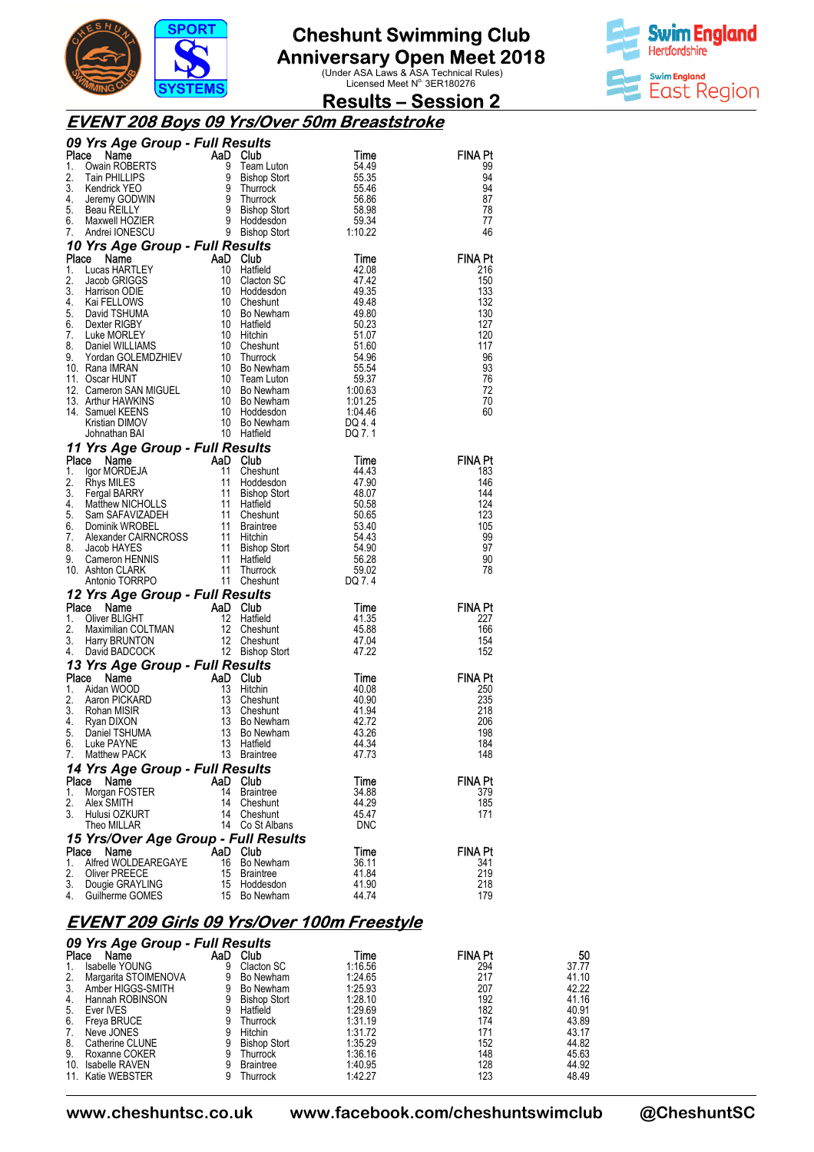

**Anniversary Open Meet 2018**<br>Under ASA Laws & ASA Technical Rules)<br>Licensed Meet N<sup>o.</sup> 3ER180276



### **Results – Session 2**

#### **EVENT 208 Boys 09 Yrs/Over 50m Breaststroke**

|             | 09 Yrs Age Group - Full Results<br><b>CONTROLLER</b><br><b>CONTROLLER</b><br><b>CONTROLLER</b><br><b>CONTROLLER</b><br><b>CONTROLLER</b><br><b>CONTROLLER</b><br><b>CONTROLLER</b><br><b>CONTROLLER</b><br><b>CONTROLLER</b><br><b>CONTROLLER</b><br><b>CONTROLLER</b><br><b>CONTROLLER</b><br><b>CONTROLLER</b><br><b>CONTROLLER</b><br><b>CONTROLLER</b><br><b>CONTROLLER</b> |          |                                                  |                       |                       |  |  |  |
|-------------|---------------------------------------------------------------------------------------------------------------------------------------------------------------------------------------------------------------------------------------------------------------------------------------------------------------------------------------------------------------------------------|----------|--------------------------------------------------|-----------------------|-----------------------|--|--|--|
| Place       |                                                                                                                                                                                                                                                                                                                                                                                 |          |                                                  |                       | <b>FINA Pt</b>        |  |  |  |
| 1.          |                                                                                                                                                                                                                                                                                                                                                                                 |          |                                                  |                       | 99                    |  |  |  |
| 2.<br>3.    |                                                                                                                                                                                                                                                                                                                                                                                 |          |                                                  |                       | 94<br>94              |  |  |  |
| 4.          |                                                                                                                                                                                                                                                                                                                                                                                 |          |                                                  |                       | 87                    |  |  |  |
| 5.          |                                                                                                                                                                                                                                                                                                                                                                                 |          |                                                  |                       | 78                    |  |  |  |
| 6.          |                                                                                                                                                                                                                                                                                                                                                                                 |          |                                                  |                       | 77                    |  |  |  |
| 7.          |                                                                                                                                                                                                                                                                                                                                                                                 |          |                                                  |                       | 46                    |  |  |  |
|             | 9 Bishop Stort<br>1. Lucas HARTLEY<br>1. Lucas HARTLEY<br>1. Lucas HARTLEY<br>1. Lucas HARTLEY<br>1. Lucas HARTLEY<br>1. Lucas HARTLEY<br>1. Lucas HARTLEY<br>1. Cucas HARTLEY<br>1. Cucas HARTLEY<br>1. Cucas CHIGART 1. 1. Cucas CHIGARY<br>1. Gu                                                                                                                             |          |                                                  |                       |                       |  |  |  |
|             |                                                                                                                                                                                                                                                                                                                                                                                 |          |                                                  |                       | <b>FINA Pt</b>        |  |  |  |
|             |                                                                                                                                                                                                                                                                                                                                                                                 |          |                                                  |                       | 216                   |  |  |  |
|             |                                                                                                                                                                                                                                                                                                                                                                                 |          |                                                  |                       | 150<br>133            |  |  |  |
|             |                                                                                                                                                                                                                                                                                                                                                                                 |          |                                                  |                       | 132                   |  |  |  |
|             |                                                                                                                                                                                                                                                                                                                                                                                 |          |                                                  |                       | 130                   |  |  |  |
|             |                                                                                                                                                                                                                                                                                                                                                                                 |          |                                                  |                       | 127                   |  |  |  |
|             |                                                                                                                                                                                                                                                                                                                                                                                 |          |                                                  |                       | 120                   |  |  |  |
|             |                                                                                                                                                                                                                                                                                                                                                                                 |          |                                                  |                       | 117                   |  |  |  |
|             |                                                                                                                                                                                                                                                                                                                                                                                 |          |                                                  |                       | 96<br>93              |  |  |  |
|             |                                                                                                                                                                                                                                                                                                                                                                                 |          |                                                  |                       | 76                    |  |  |  |
|             |                                                                                                                                                                                                                                                                                                                                                                                 |          |                                                  |                       | 72                    |  |  |  |
|             |                                                                                                                                                                                                                                                                                                                                                                                 |          |                                                  |                       | 70                    |  |  |  |
|             |                                                                                                                                                                                                                                                                                                                                                                                 |          |                                                  |                       | 60                    |  |  |  |
|             |                                                                                                                                                                                                                                                                                                                                                                                 |          |                                                  |                       |                       |  |  |  |
|             |                                                                                                                                                                                                                                                                                                                                                                                 |          |                                                  |                       |                       |  |  |  |
|             | 11 Yrs Age Group - Full Results<br><b>Yrs Age Group - Full Results<br/> Send Mann Club<br/> Igor MoRDEJA 11 Cheshunt<br/> Rhys MILES 11 Hoddesdon<br/> Fergal BARRY 11 Bishop Stort<br/> Matthew NICHOLLS 11 Hatfield<br/> Sam SAFAVIZADEH 11 Cheshunt<br/> Mexander CAIRNCROSS 11 Hitchin<br/> Jac</b>                                                                         |          | <b>s<i>ults</i></b><br>Club<br>Cheshunt<br>Hodda |                       |                       |  |  |  |
| Place<br>1. |                                                                                                                                                                                                                                                                                                                                                                                 |          |                                                  | Time<br>44.43         | <b>FINA Pt</b><br>183 |  |  |  |
| 2.          |                                                                                                                                                                                                                                                                                                                                                                                 |          |                                                  | 47.90                 | 146                   |  |  |  |
| 3.          |                                                                                                                                                                                                                                                                                                                                                                                 |          |                                                  | 48.07                 | 144                   |  |  |  |
| 4.          |                                                                                                                                                                                                                                                                                                                                                                                 |          |                                                  | 50.58                 | 124                   |  |  |  |
| 5.          |                                                                                                                                                                                                                                                                                                                                                                                 |          |                                                  | 50.65                 | 123                   |  |  |  |
| 6.<br>7.    |                                                                                                                                                                                                                                                                                                                                                                                 |          |                                                  | 53.40<br>54.43        | 105<br>99             |  |  |  |
| 8.          |                                                                                                                                                                                                                                                                                                                                                                                 |          |                                                  | 54.90                 | 97                    |  |  |  |
| 9.          |                                                                                                                                                                                                                                                                                                                                                                                 |          |                                                  | $\frac{56.28}{56.28}$ | 90                    |  |  |  |
|             | 10. Ashton CLARK                                                                                                                                                                                                                                                                                                                                                                |          |                                                  | 59.02                 | 78                    |  |  |  |
|             |                                                                                                                                                                                                                                                                                                                                                                                 |          |                                                  | DQ 7.4                |                       |  |  |  |
|             | 12 Yrs Age Group - Full Results                                                                                                                                                                                                                                                                                                                                                 |          |                                                  |                       |                       |  |  |  |
| Place       | Compared to the Manufold Club<br>Cliver BLIGHT Maximilian COLTMAN<br>Maximilian COLTMAN 12 Cheshunt<br>Harry BRUNTON 12 Cheshunt<br>David BADCOCK 12 Bishop Stort                                                                                                                                                                                                               |          |                                                  | Time                  | <b>FINA Pt</b>        |  |  |  |
| 1.<br>2.    |                                                                                                                                                                                                                                                                                                                                                                                 |          |                                                  | 41.35<br>45.88        | 227<br>166            |  |  |  |
| 3.          |                                                                                                                                                                                                                                                                                                                                                                                 |          |                                                  | 47.04                 | 154                   |  |  |  |
| 4.          |                                                                                                                                                                                                                                                                                                                                                                                 |          |                                                  | 47.22                 | 152                   |  |  |  |
|             |                                                                                                                                                                                                                                                                                                                                                                                 |          |                                                  |                       |                       |  |  |  |
|             | <b>13 Yrs Age Group - Full Results<br/> Place Name - AaD Club<br/> 1. Aidan WOOD - 13 Hitchin<br/> 2. Aaron PICKARD - 13 Cheshur<br/> 3. Rohan MISIR - 13 Cheshur<br/> 4. Ryan DIXON - 13 Bo New!<br/> 5. Daniel TSHUMA - 13 Bo New!<br/> 6. Luke PAYNE - 13</b>                                                                                                                |          | aD Club<br>13 Hitchin<br>13 Cheshunt             | Time                  | <b>FINA Pt</b>        |  |  |  |
|             |                                                                                                                                                                                                                                                                                                                                                                                 |          |                                                  | 40.08                 | 250                   |  |  |  |
|             |                                                                                                                                                                                                                                                                                                                                                                                 |          |                                                  | 40.90                 | 235                   |  |  |  |
|             |                                                                                                                                                                                                                                                                                                                                                                                 |          | 13 Cheshunt<br>13 Bo Newham                      | 41.94<br>42.72        | 218<br>206            |  |  |  |
|             |                                                                                                                                                                                                                                                                                                                                                                                 |          | Bo Newham                                        | 43.26                 | 198                   |  |  |  |
|             |                                                                                                                                                                                                                                                                                                                                                                                 |          |                                                  | 44.34                 | 184                   |  |  |  |
| 7.          | <b>Matthew PACK</b>                                                                                                                                                                                                                                                                                                                                                             |          | 13 Braintree                                     | 47.73                 | 148                   |  |  |  |
|             | 14 Yrs Age Group - Full Results                                                                                                                                                                                                                                                                                                                                                 |          |                                                  |                       |                       |  |  |  |
| Place       | Name                                                                                                                                                                                                                                                                                                                                                                            | AaD      | <b>Club</b>                                      | Time                  | FINA Pt               |  |  |  |
| 1.          | Morgan FOSTER                                                                                                                                                                                                                                                                                                                                                                   | 14       | <b>Braintree</b>                                 | 34.88                 | 379                   |  |  |  |
| 2.          | Alex SMITH                                                                                                                                                                                                                                                                                                                                                                      | 14       | Cheshunt                                         | 44.29                 | 185                   |  |  |  |
| 3.          | Hulusi OZKURT<br>Theo MILLAR                                                                                                                                                                                                                                                                                                                                                    | 14<br>14 | Cheshunt<br>Co St Albans                         | 45.47<br><b>DNC</b>   | 171                   |  |  |  |
|             | 15 Yrs/Over Age Group - Full Results                                                                                                                                                                                                                                                                                                                                            |          |                                                  |                       |                       |  |  |  |
| Place       | Name                                                                                                                                                                                                                                                                                                                                                                            | AaD      | Club                                             | Time                  | FINA Pt               |  |  |  |
| 1.          | Alfred WOLDEAREGAYE                                                                                                                                                                                                                                                                                                                                                             | 16       | Bo Newham                                        | 36.11                 | 341                   |  |  |  |
| 2.          | Oliver PREECE                                                                                                                                                                                                                                                                                                                                                                   | 15       | <b>Braintree</b>                                 | 41.84                 | 219                   |  |  |  |
| 3.          | Dougie GRAYLING                                                                                                                                                                                                                                                                                                                                                                 | 15       | Hoddesdon                                        | 41.90                 | 218                   |  |  |  |
| 4.          | Guilherme GOMES                                                                                                                                                                                                                                                                                                                                                                 | 15       | Bo Newham                                        | 44.74                 | 179                   |  |  |  |

#### **EVENT 209 Girls 09 Yrs/Over 100m Freestyle**

| 09 Yrs Age Group - Full Results |                      |     |                     |         |                |       |
|---------------------------------|----------------------|-----|---------------------|---------|----------------|-------|
| Place                           | Name                 | AaD | Club                | Time    | <b>FINA Pt</b> | 50    |
| 1.                              | Isabelle YOUNG       | 9   | Clacton SC          | 1:16.56 | 294            | 37.77 |
| 2.                              | Margarita STOIMENOVA | 9   | Bo Newham           | 1:24.65 | 217            | 41.10 |
| 3.                              | Amber HIGGS-SMITH    |     | Bo Newham           | 1:25.93 | 207            | 42.22 |
| 4.                              | Hannah ROBINSON      | 9   | <b>Bishop Stort</b> | 1:28.10 | 192            | 41.16 |
| 5.                              | Ever IVES            |     | Hatfield            | 1.29.69 | 182            | 40.91 |
| 6.                              | Freya BRUCE          | 9   | Thurrock            | 1:31.19 | 174            | 43.89 |
| 7.                              | Neve JONES           | 9   | Hitchin             | 1:31.72 | 171            | 43.17 |
| 8.                              | Catherine CLUNE      |     | <b>Bishop Stort</b> | 1:35.29 | 152            | 44.82 |
| 9.                              | Roxanne COKER        | 9   | Thurrock            | 1:36.16 | 148            | 45.63 |
| 10.                             | Isabelle RAVEN       | 9   | <b>Braintree</b>    | 1:40.95 | 128            | 44.92 |
|                                 | 11. Katie WEBSTER    |     | Thurrock            | 1:42.27 | 123            | 48.49 |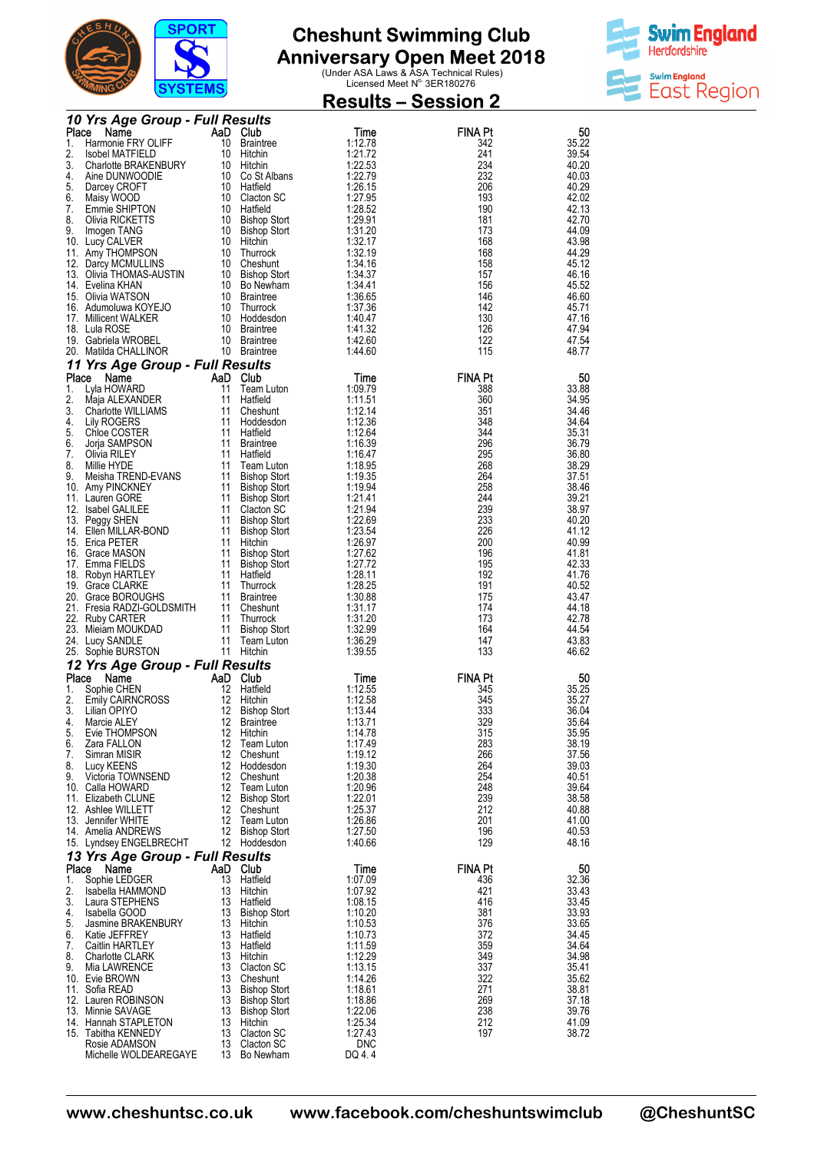



|             | <u> 1 0 1 1 1 1 1 0 1 </u>               |          |                                         | <b>Results – Session 2</b> |                       |                |  |  |
|-------------|------------------------------------------|----------|-----------------------------------------|----------------------------|-----------------------|----------------|--|--|
|             | 10 Yrs Age Group - Full Results          |          |                                         |                            |                       |                |  |  |
| Place<br>1. | Name<br>Harmonie FRY OLIFF               | 10       | AaD Club<br>Braintree                   | Time<br>1:12.78            | <b>FINA Pt</b><br>342 | 50<br>35.22    |  |  |
| 2.          | Isobel MATFIELD                          | 10       | Hitchin                                 | 1:21.72                    | 241                   | 39.54          |  |  |
| 3.          | Charlotte BRAKENBURY                     | 10       | Hitchin                                 | 1:22.53                    | 234                   | 40.20          |  |  |
| 4.<br>5.    | Aine DUNWOODIE<br>Darcey CROFT           |          | 10 Co St Albans<br>10 Hatfield          | 1:22.79<br>1:26.15         | 232<br>206            | 40.03<br>40.29 |  |  |
| 6.          | Maisy WOOD                               |          | 10 Clacton SC                           | 1:27.95                    | 193                   | 42.02          |  |  |
| 7.<br>8.    | Emmie SHIPTON<br>Olivia RICKETTS         |          | 10 Hatfield<br>10 Bishop Stort          | 1:28.52<br>1:29.91         | 190<br>181            | 42.13<br>42.70 |  |  |
| 9.          | Imogen TANG                              | 10       | <b>Bishop Stort</b>                     | 1:31.20                    | 173                   | 44.09          |  |  |
|             | 10. Lucy CALVER                          |          | 10 Hitchin                              | 1:32.17                    | 168                   | 43.98          |  |  |
|             | 11. Amy THOMPSON<br>12. Darcy MCMULLINS  | 10       | Thurrock<br>10 Cheshunt                 | 1:32.19<br>1:34.16         | 168<br>158            | 44.29<br>45.12 |  |  |
|             | 13. Olivia THOMAS-AUSTIN                 |          | 10 Bishop Stort                         | 1:34.37                    | 157                   | 46.16          |  |  |
|             | 14. Evelina KHAN<br>15. Olivia WATSON    |          | 10 Bo Newham<br>10 Braintree            | 1:34.41<br>1:36.65         | 156<br>146            | 45.52<br>46.60 |  |  |
|             | 16. Adumoluwa KOYEJO                     |          | 10 Thurrock                             | 1:37.36                    | 142                   | 45.71          |  |  |
|             | 17. Millicent WALKER                     |          | 10 Hoddesdon                            | 1:40.47                    | 130                   | 47.16          |  |  |
|             | 18. Lula ROSE<br>19. Gabriela WROBEL     |          | 10 Braintree<br>10 Braintree            | 1:41.32<br>1:42.60         | 126<br>122            | 47.94<br>47.54 |  |  |
|             | 20. Matilda CHALLINOR                    |          | 10 Braintree                            | 1.44.60                    | 115                   | 48.77          |  |  |
|             | 11 Yrs Age Group - Full Results          |          |                                         |                            |                       |                |  |  |
| Place       | Name                                     | 11       | AaD Club<br>Team Luton                  | Time<br>1:09.79            | <b>FINA Pt</b>        | 50<br>33.88    |  |  |
| 1.<br>2.    | Lyla HOWARD<br>Maja ALEXANDER            | 11       | Hatfield                                | 1:11.51                    | 388<br>360            | 34.95          |  |  |
| 3.          | Charlotte WILLIAMS                       | 11       | Cheshunt                                | 1:12.14                    | 351                   | 34.46          |  |  |
| 4.<br>5.    | Lily ROGERS<br>Chloe COSTER              | 11       | Hoddesdon<br>11 Hatfield                | 1:12.36<br>1:12.64         | 348<br>344            | 34.64<br>35.31 |  |  |
| 6.          | Jorja SAMPSON                            | 11       | <b>Braintree</b>                        | 1:16.39                    | 296                   | 36.79          |  |  |
| 7.          | Olivia RILEY                             | 11       | Hatfield                                | 1:16.47                    | 295                   | 36.80          |  |  |
| 8.<br>9.    | Millie HYDE<br>Meisha TREND-EVANS        | 11<br>11 | Team Luton<br><b>Bishop Stort</b>       | 1:18.95<br>1:19.35         | 268<br>264            | 38.29<br>37.51 |  |  |
|             | 10. Amy PINCKNEY                         |          | 11 Bishop Stort                         | 1:19.94                    | 258                   | 38.46          |  |  |
|             | 11. Lauren GORE<br>12. Isabel GALILEE    |          | 11 Bishop Stort<br>11 Clacton SC        | 1:21.41<br>1:21.94         | 244<br>239            | 39.21<br>38.97 |  |  |
|             | 13. Peggy SHEN                           | 11       | <b>Bishop Stort</b>                     | 1:22.69                    | 233                   | 40.20          |  |  |
|             | 14. Ellen MILLAR-BOND                    | 11       | <b>Bishop Stort</b>                     | 1:23.54                    | 226                   | 41.12          |  |  |
|             | 15. Erica PETER<br>16. Grace MASON       | 11<br>11 | Hitchin<br><b>Bishop Stort</b>          | 1:26.97<br>1:27.62         | 200<br>196            | 40.99<br>41.81 |  |  |
|             | 17. Emma FIELDS                          |          | 11 Bishop Stort                         | 1:27.72                    | 195                   | 42.33          |  |  |
|             | 18. Robyn HARTLEY<br>19. Grace CLARKE    | 11<br>11 | Hatfield<br>Thurrock                    | 1:28.11<br>1:28.25         | 192<br>191            | 41.76<br>40.52 |  |  |
|             | 20. Grace BOROUGHS                       |          | 11 Braintree                            | 1:30.88                    | 175                   | 43.47          |  |  |
|             | 21. Fresia RADZI-GOLDSMITH               |          | 11 Cheshunt                             | 1:31.17                    | 174                   | 44.18          |  |  |
|             | 22. Ruby CARTER<br>23. Mieiam MOUKDAD    | 11<br>11 | Thurrock<br><b>Bishop Stort</b>         | 1:31.20<br>1:32.99         | 173<br>164            | 42.78<br>44.54 |  |  |
|             | 24. Lucy SANDLE                          | 11       | Team Luton                              | 1:36.29                    | 147                   | 43.83          |  |  |
|             | 25. Sophie BURSTON                       | 11       | Hitchin                                 | 1:39.55                    | 133                   | 46.62          |  |  |
| Place       | 12 Yrs Age Group - Full Results<br>Name  |          | AaD Club                                | Time                       | FINA Pt               | 50             |  |  |
| 1.          | Sophie CHEN                              | 12       | Hatfield                                | 1:12.55                    | 345                   | 35.25          |  |  |
|             | Emily CAIRNCROSS                         |          | 12 Hitchin                              | 1:12.58                    | 345                   | 35.27          |  |  |
| 3.<br>4.    | Lilian OPIYO<br>Marcie ALEY              | 12<br>12 | <b>Bishop Stort</b><br><b>Braintree</b> | 1:13.44<br>1:13.71         | 333<br>329            | 36.04<br>35.64 |  |  |
| 5.          | Evie THOMPSON                            | 12       | Hitchin                                 | 1:14.78                    | 315                   | 35.95          |  |  |
| 6.          | Zara FALLON                              |          | 12 Team Luton<br>12 Cheshunt            | 1:17.49                    | 283<br>266            | 38.19<br>37.56 |  |  |
| 7.<br>8.    | Simran MISIR<br>Lucy KEENS               |          | 12 Hoddesdon                            | 1:19.12<br>1:19.30         | 264                   | 39.03          |  |  |
| 9.          | Victoria TOWNSEND                        |          | 12 Cheshunt                             | 1:20.38                    | 254                   | 40.51          |  |  |
|             | 10. Calla HOWARD<br>11. Elizabeth CLUNE  |          | 12 Team Luton<br>12 Bishop Stort        | 1:20.96<br>1:22.01         | 248<br>239            | 39.64<br>38.58 |  |  |
|             | 12. Ashlee WILLETT                       |          | 12 Cheshunt                             | 1:25.37                    | 212                   | 40.88          |  |  |
|             | 13. Jennifer WHITE<br>14. Amelia ANDREWS | 12       | Team Luton<br>12 Bishop Stort           | 1:26.86<br>1:27.50         | 201<br>196            | 41.00<br>40.53 |  |  |
|             | 15. Lyndsey ENGELBRECHT                  |          | 12 Hoddesdon                            | 1:40.66                    | 129                   | 48.16          |  |  |
|             | 13 Yrs Age Group - Full Results          |          |                                         |                            |                       |                |  |  |
| Place       | Name                                     |          | AaD Club                                | Time                       | <b>FINA Pt</b>        | 50             |  |  |
| 1.<br>2.    | Sophie LEDGER<br>Isabella HAMMOND        | 13<br>13 | Hatfield<br>Hitchin                     | 1:07.09<br>1:07.92         | 436<br>421            | 32.36<br>33.43 |  |  |
| 3.          | Laura STEPHENS                           | 13       | Hatfield                                | 1:08.15                    | 416                   | 33.45          |  |  |
| 4.          | Isabella GOOD                            | 13       | Bishop Stort                            | 1:10.20                    | 381                   | 33.93          |  |  |
| 5.<br>6.    | Jasmine BRAKENBURY<br>Katie JEFFREY      | 13<br>13 | Hitchin<br>Hatfield                     | 1:10.53<br>1:10.73         | 376<br>372            | 33.65<br>34.45 |  |  |
| 7.          | Caitlin HARTLEY                          | 13       | Hatfield                                | 1:11.59                    | 359                   | 34.64          |  |  |
| 8.<br>9.    | <b>Charlotte CLARK</b><br>Mia LAWRENCE   | 13<br>13 | Hitchin<br>Clacton SC                   | 1:12.29<br>1:13.15         | 349<br>337            | 34.98<br>35.41 |  |  |
|             | 10. Evie BROWN                           | 13       | Cheshunt                                | 1:14.26                    | 322                   | 35.62          |  |  |
|             | 11. Sofia READ                           | 13       | <b>Bishop Stort</b>                     | 1:18.61                    | 271                   | 38.81          |  |  |
|             | 12. Lauren ROBINSON<br>13. Minnie SAVAGE | 13<br>13 | <b>Bishop Stort</b><br>Bishop Stort     | 1:18.86<br>1:22.06         | 269<br>238            | 37.18<br>39.76 |  |  |
|             | 14. Hannah STAPLETON                     | 13       | Hitchin                                 | 1:25.34                    | 212                   | 41.09          |  |  |
|             | 15. Tabitha KENNEDY<br>Rosie ADAMSON     | 13<br>13 | Clacton SC<br>Clacton SC                | 1:27.43<br><b>DNC</b>      | 197                   | 38.72          |  |  |
|             | Michelle WOLDEAREGAYE                    | 13       | Bo Newham                               | DQ 4.4                     |                       |                |  |  |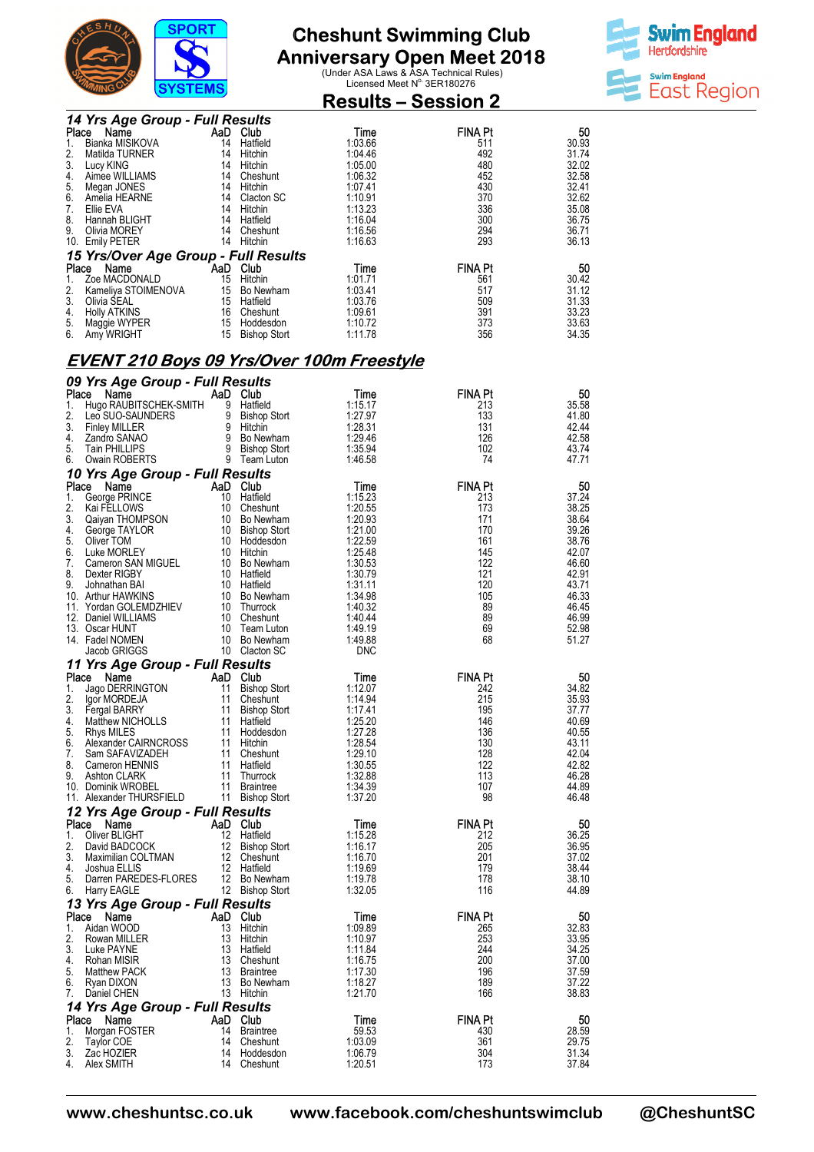



|          |                                                  | 191 EM9  |                                 | <b>Results – Session 2</b> |                |                |
|----------|--------------------------------------------------|----------|---------------------------------|----------------------------|----------------|----------------|
|          | 14 Yrs Age Group - Full Results                  |          |                                 |                            |                |                |
| Place    | Name                                             | AaD Club |                                 | Time                       | FINA Pt        | 50             |
| 1.<br>2. | Bianka MISIKOVA<br>Matilda TURNER                |          | 14 Hatfield<br>14 Hitchin       | 1:03.66<br>1:04.46         | 511<br>492     | 30.93<br>31.74 |
| 3.       | Lucy KING                                        |          | 14 Hitchin                      | 1:05.00                    | 480            | 32.02          |
| 4.<br>5. | Aimee WILLIAMS<br>Megan JONES                    |          | 14 Cheshunt<br>14 Hitchin       | 1:06.32<br>1:07.41         | 452<br>430     | 32.58<br>32.41 |
| 6.       | Amelia HEARNE                                    |          | 14 Clacton SC                   | 1:10.91                    | 370            | 32.62          |
| 7.       | Ellie EVA                                        |          | 14 Hitchin                      | 1:13.23                    | 336            | 35.08          |
| 8.<br>9. | Hannah BLIGHT<br>Olivia MOREY                    |          | 14 Hatfield<br>14 Cheshunt      | 1:16.04<br>1:16.56         | 300<br>294     | 36.75<br>36.71 |
|          | 10. Emily PETER                                  |          | 14 Hitchin                      | 1:16.63                    | 293            | 36.13          |
|          | 15 Yrs/Over Age Group - Full Results             |          |                                 |                            |                |                |
|          | Place Name                                       | AaD Club |                                 | Time                       | <b>FINA Pt</b> | 50             |
| 1.<br>2. | Zoe MACDONALD<br>Kameliya STOIMENOVA             |          | 15 Hitchin<br>15 Bo Newham      | 1:01.71<br>1:03.41         | 561<br>517     | 30.42<br>31.12 |
| 3.       | Olivia SEAL                                      |          | 15 Hatfield                     | 1:03.76                    | 509            | 31.33          |
| 4.<br>5. | <b>Holly ATKINS</b>                              |          | 16 Cheshunt<br>15 Hoddesdon     | 1:09.61<br>1:10.72         | 391<br>373     | 33.23<br>33.63 |
| 6.       | Maggie WYPER<br>Amy WRIGHT                       |          | 15 Bishop Stort                 | 1:11.78                    | 356            | 34.35          |
|          |                                                  |          |                                 |                            |                |                |
|          | <b>EVENT 210 Boys 09 Yrs/Over 100m Freestyle</b> |          |                                 |                            |                |                |
| Place    | 09 Yrs Age Group - Full Results<br>Name          | AaD Club |                                 | Time                       | <b>FINA Pt</b> | 50             |
| 1.       | Hugo RAUBITSCHEK-SMITH                           |          | 9 Hatfield                      | 1:15.17                    | 213            | 35.58          |
| 2.       | Leo SUO-SAUNDERS                                 |          | 9 Bishop Stort                  | 1:27.97                    | 133            | 41.80          |
| 3.<br>4. | <b>Finley MILLER</b><br>Zandro SANAO             |          | 9 Hitchin<br>9 Bo Newham        | 1:28.31<br>1:29.46         | 131<br>126     | 42.44<br>42.58 |
| 5.       | <b>Tain PHILLIPS</b>                             |          | 9 Bishop Stort                  | 1:35.94                    | 102            | 43.74          |
| 6.       | Owain ROBERTS                                    |          | 9 Team Luton                    | 1:46.58                    | 74             | 47.71          |
| Place    | 10 Yrs Age Group - Full Results<br>Name          | AaD Club |                                 | Time                       | <b>FINA Pt</b> | 50             |
| 1.       | George PRINCE                                    |          | 10 Hatfield                     | 1:15.23                    | 213            | 37.24          |
| 2.       | Kai FELLOWS                                      |          | 10 Cheshunt                     | 1:20.55                    | 173            | 38.25          |
| 3.<br>4. | Qaiyan THOMPSON<br>George TAYLOR                 |          | 10 Bo Newham<br>10 Bishop Stort | 1:20.93<br>1:21.00         | 171<br>170     | 38.64<br>39.26 |
| 5.       | Oliver TOM                                       |          | 10 Hoddesdon                    | 1:22.59                    | 161            | 38.76          |
| 6.<br>7. | Luke MORLEY                                      |          | 10 Hitchin<br>10 Bo Newham      | 1:25.48<br>1:30.53         | 145<br>122     | 42.07<br>46.60 |
| 8.       | Cameron SAN MIGUEL<br>Dexter RIGBY               |          | 10 Hatfield                     | 1:30.79                    | 121            | 42.91          |
| 9.       | Johnathan BAI                                    |          | 10 Hatfield                     | 1:31.11                    | 120            | 43.71          |
|          | 10. Arthur HAWKINS<br>11. Yordan GOLEMDZHIEV     |          | 10 Bo Newham<br>10 Thurrock     | 1:34.98<br>1:40.32         | 105<br>89      | 46.33<br>46.45 |
|          | 12. Daniel WILLIAMS                              |          | 10 Cheshunt                     | 1:40.44                    | 89             | 46.99          |
|          | 13. Oscar HUNT                                   |          | 10 Team Luton<br>10 Bo Newham   | 1:49.19<br>1:49.88         | 69             | 52.98          |
|          | 14. Fadel NOMEN<br>Jacob GRIGGS                  |          | 10 Clacton SC                   | <b>DNC</b>                 | 68             | 51.27          |
|          | 11 Yrs Age Group - Full Results                  |          |                                 |                            |                |                |
| Place    | Name                                             | AaD Club |                                 | Time                       | <b>FINA Pt</b> | 50             |
| 1.<br>2. | Jago DERRINGTON<br>lgor MORDEJA                  | 11<br>11 | <b>Bishop Stort</b><br>Cheshunt | 1:12.07<br>1:14.94         | 242<br>215     | 34.82<br>35.93 |
| 3.       | Fergal BARRY                                     | 11       | <b>Bishop Stort</b>             | 1:17.41                    | 195            | 37.77          |
| 4.<br>5. | Matthew NICHOLLS<br>Rhys MILES                   | 11<br>11 | Hatfield<br>Hoddesdon           | 1:25.20<br>1:27.28         | 146<br>136     | 40.69<br>40.55 |
| 6.       | Alexander CAIRNCROSS                             | 11       | Hitchin                         | 1:28.54                    | 130            | 43.11          |
| 7.       | Sam SAFAVIZADEH                                  | 11       | Cheshunt                        | 1:29.10                    | 128            | 42.04          |
| 8.<br>9. | Cameron HENNIS<br>Ashton CLARK                   | 11<br>11 | Hatfield<br>Thurrock            | 1:30.55<br>1:32.88         | 122<br>113     | 42.82<br>46.28 |
|          | 10. Dominik WROBEL                               | 11       | <b>Braintree</b>                | 1:34.39                    | 107            | 44.89          |
|          | 11. Alexander THURSFIELD                         |          | 11 Bishop Stort                 | 1:37.20                    | 98             | 46.48          |
| Place    | 12 Yrs Age Group - Full Results<br>Name          | AaD Club |                                 | Time                       | <b>FINA Pt</b> | 50             |
| 1.       | Oliver BLIGHT                                    | 12       | Hatfield                        | 1:15.28                    | 212            | 36.25          |
| 2.       | David BADCOCK                                    | 12       | <b>Bishop Stort</b>             | 1:16.17                    | 205            | 36.95          |
| 3.<br>4. | Maximilian COLTMAN<br>Joshua ELLIS               | 12<br>12 | Cheshunt<br>Hatfield            | 1:16.70<br>1:19.69         | 201<br>179     | 37.02<br>38.44 |
| 5.       | Darren PAREDES-FLORES                            |          | 12 Bo Newham                    | 1:19.78                    | 178            | 38.10          |
| 6.       | <b>Harry EAGLE</b>                               |          | 12 Bishop Stort                 | 1:32.05                    | 116            | 44.89          |
| Place    | 13 Yrs Age Group - Full Results<br>Name          | AaD Club |                                 | Time                       | <b>FINA Pt</b> | 50             |
| 1.       | Aidan WOOD                                       | 13       | Hitchin                         | 1:09.89                    | 265            | 32.83          |
| 2.<br>3. | Rowan MILLER<br>Luke PAYNE                       | 13<br>13 | Hitchin<br>Hatfield             | 1:10.97<br>1:11.84         | 253<br>244     | 33.95<br>34.25 |
| 4.       | Rohan MISIR                                      | 13       | Cheshunt                        | 1:16.75                    | 200            | 37.00          |
| 5.       | <b>Matthew PACK</b>                              | 13       | <b>Braintree</b>                | 1:17.30                    | 196            | 37.59          |
| 6.<br>7. | Ryan DIXON<br>Daniel CHEN                        |          | 13 Bo Newham<br>13 Hitchin      | 1:18.27<br>1:21.70         | 189<br>166     | 37.22<br>38.83 |
|          | 14 Yrs Age Group - Full Results                  |          |                                 |                            |                |                |
| Place    | Name                                             | AaD Club |                                 | Time                       | <b>FINA Pt</b> | 50             |
| 1.<br>2. | Morgan FOSTER<br><b>Taylor COE</b>               | 14<br>14 | <b>Braintree</b><br>Cheshunt    | 59.53<br>1:03.09           | 430<br>361     | 28.59<br>29.75 |
| 3.       | Zac HOZIER                                       | 14       | Hoddesdon                       | 1:06.79                    | 304            | 31.34          |
| 4.       | Alex SMITH                                       | 14       | Cheshunt                        | 1:20.51                    | 173            | 37.84          |